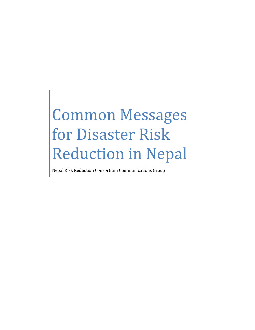# Common Messages for Disaster Risk Reduction in Nepal

Nepal Risk Reduction Consortium Communications Group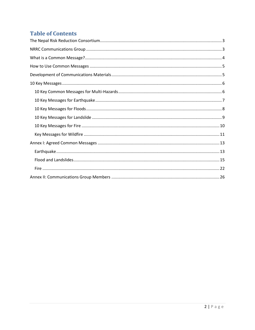# **Table of Contents**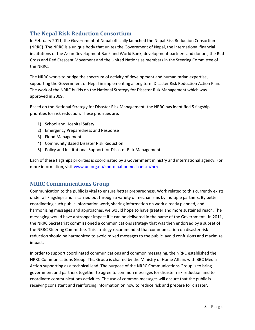# <span id="page-2-0"></span>**The Nepal Risk Reduction Consortium**

In February 2011, the Government of Nepal officially launched the Nepal Risk Reduction Consortium (NRRC). The NRRC is a unique body that unites the Government of Nepal, the international financial institutions of the Asian Development Bank and World Bank, development partners and donors, the Red Cross and Red Crescent Movement and the United Nations as members in the Steering Committee of the NRRC.

The NRRC works to bridge the spectrum of activity of development and humanitarian expertise, supporting the Government of Nepal in implementing a long term Disaster Risk Reduction Action Plan. The work of the NRRC builds on the National Strategy for Disaster Risk Management which was approved in 2009.

Based on the National Strategy for Disaster Risk Management, the NRRC has identified 5 flagship priorities for risk reduction. These priorities are:

- 1) School and Hospital Safety
- 2) Emergency Preparedness and Response
- 3) Flood Management
- 4) Community Based Disaster Risk Reduction
- 5) Policy and Institutional Support for Disaster Risk Management

Each of these flagships priorities is coordinated by a Government ministry and international agency. For more information, visit [www.un.org.np/coordinationmechanism/nrrc](http://www.un.org.np/coordinationmechanism/nrrc)

## <span id="page-2-1"></span>**NRRC Communications Group**

Communication to the public is vital to ensure better preparedness. Work related to this currently exists under all Flagships and is carried out through a variety of mechanisms by multiple partners. By better coordinating such public information work, sharing information on work already planned, and harmonizing messages and approaches, we would hope to have greater and more sustained reach. The messaging would have a stronger impact if it can be delivered in the name of the Government. In 2011, the NRRC Secretariat commissioned a communications strategy that was then endorsed by a subset of the NRRC Steering Committee. This strategy recommended that communication on disaster risk reduction should be harmonized to avoid mixed messages to the public, avoid confusions and maximize impact.

In order to support coordinated communications and common messaging, the NRRC established the NRRC Communications Group. This Group is chaired by the Ministry of Home Affairs with BBC Media Action supporting as a technical lead. The purpose of the NRRC Communications Group is to bring government and partners together to agree to common messages for disaster risk reduction and to coordinate communications activities. The use of common messages will ensure that the public is receiving consistent and reinforcing information on how to reduce risk and prepare for disaster.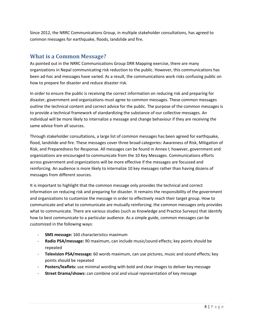Since 2012, the NRRC Communications Group, in multiple stakeholder consultations, has agreed to common messages for earthquake, floods, landslide and fire.

### <span id="page-3-0"></span>**What is a Common Message?**

As pointed out in the NRRC Communications Group DRR Mapping exercise, there are many organizations in Nepal communicating risk reduction to the public. However, this communications has been ad-hoc and messages have varied. As a result, the communications work risks confusing public on how to prepare for disaster and reduce disaster risk.

In order to ensure the public is receiving the correct information on reducing risk and preparing for disaster, government and organizations must agree to common messages. These common messages outline the technical content and correct advice for the public. The purpose of the common messages is to provide a technical framework of standardizing the substance of our collective messages. An individual will be more likely to internalize a message and change behaviour if they are receiving the same advice from all sources.

Through stakeholder consultations, a large list of common messages has been agreed for earthquake, flood, landslide and fire. These messages cover three broad categories: Awareness of Risk, Mitigation of Risk, and Preparedness for Response. All messages can be found in Annex I; however, government and organizations are encouraged to communicate from the 10 Key Messages. Communications efforts across government and organizations will be more effective if the messages are focussed and reinforcing. An audience is more likely to internalize 10 key messages rather than having dozens of messages from different sources.

It is important to highlight that the common message only provides the technical and correct information on reducing risk and preparing for disaster. It remains the responsibility of the government and organizations to customize the message in order to effectively reach their target group. How to communicate and what to communicate are mutually reinforcing; the common messages only provides what to communicate. There are various studies (such as Knowledge and Practice Surveys) that identify how to best communicate to a particular audience. As a simple guide, common messages can be customized in the following ways:

- **SMS message:** 160 characteristics maximum
- **Radio PSA/message:** 90 maximum, can include music/sound effects; key points should be repeated
- **Television PSA/message:** 60 words maximum, can use pictures, music and sound effects; key points should be repeated
- **Posters/leaflets:** use minimal wording with bold and clear images to deliver key message
- **Street Drama/shows:** can combine oral and visual representation of key message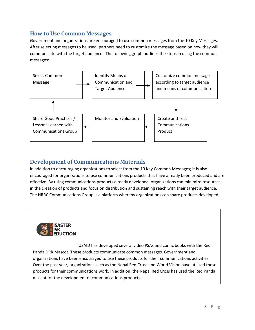## <span id="page-4-0"></span>**How to Use Common Messages**

Government and organizations are encouraged to use common messages from the 10 Key Messages. After selecting messages to be used, partners need to customize the message based on how they will communicate with the target audience. The following graph outlines the steps in using the common messages:



## <span id="page-4-1"></span>**Development of Communications Materials**

In addition to encouraging organizations to select from the 10 Key Common Messages; it is also encouraged for organizations to use communications products that have already been produced and are effective. By using communications products already developed, organizations can minimize resources in the creation of products and focus on distribution and sustaining reach with their target audience. The NRRC Communications Group is a platform whereby organizations can share products developed.



USAID has developed several video PSAs and comic books with the Red Panda DRR Mascot. These products communicate common messages. Government and organizations have been encouraged to use these products for their communications activities. Over the past year, organizations such as the Nepal Red Cross and World Vision have utilized these products for their communications work. In addition, the Nepal Red Cross has used the Red Panda mascot for the development of communications products.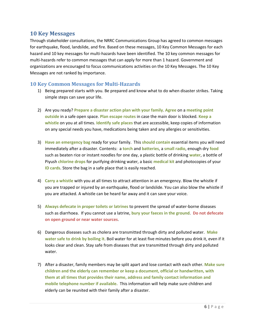#### <span id="page-5-0"></span>**10 Key Messages**

Through stakeholder consultations, the NRRC Communications Group has agreed to common messages for earthquake, flood, landslide, and fire. Based on these messages, 10 Key Common Messages for each hazard and 10 key messages for multi-hazards have been identified. The 10 key common messages for multi-hazards refer to common messages that can apply for more than 1 hazard. Government and organizations are encouraged to focus communications activities on the 10 Key Messages. The 10 Key Messages are not ranked by importance.

#### <span id="page-5-1"></span>**10 Key Common Messages for Multi-Hazards**

- 1) Being prepared starts with you. Be prepared and know what to do when disaster strikes. Taking simple steps can save your life.
- 2) Are you ready? **Prepare a disaster action plan with your family**. **Agree** on a **meeting point outside** in a safe open space. **Plan escape routes** in case the main door is blocked. **Keep a whistle** on you at all times. **Identify safe places** that are accessible, keep copies of information on any special needs you have, medications being taken and any allergies or sensitivities.
- 3) **Have an emergency bag** ready for your family. This **should contain** essential items you will need immediately after a disaster. Contents: a **torch** and **batteries**, a **small radio**, enough dry **food** such as beaten rice or instant noodles for one day, a plastic bottle of drinking **water**, a bottle of Piyush **chlorine drops** for purifying drinking water, a basic **medical kit** and photocopies of your **ID cards**. Store the bag in a safe place that is easily reached.
- 4) **Carry a whistle** with you at all times to attract attention in an emergency. Blow the whistle if you are trapped or injured by an earthquake, flood or landslide. You can also blow the whistle if you are attacked. A whistle can be heard far away and it can save your voice.
- 5) **Always defecate in proper toilets or latrines** to prevent the spread of water-borne diseases such as diarrhoea. If you cannot use a latrine, **bury your faeces in the ground**. **Do not defecate on open ground or near water sources**.
- 6) Dangerous diseases such as cholera are transmitted through dirty and polluted water. **Make water safe to drink by boiling it**. Boil water for at least five minutes before you drink it, even if it looks clear and clean. Stay safe from diseases that are transmitted through dirty and polluted water.
- 7) After a disaster, family members may be split apart and lose contact with each other. **Make sure children and the elderly can remember or keep a document, official or handwritten, with them at all times that provides their name, address and family contact information and mobile telephone number if available.** This information will help make sure children and elderly can be reunited with their family after a disaster.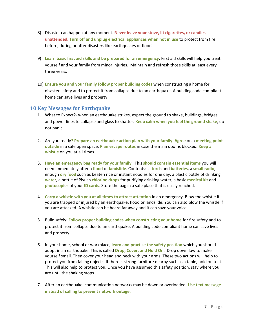- 8) Disaster can happen at any moment. **Never leave your stove, lit cigarettes, or candles unattended. Turn off and unplug electrical appliances when not in use** to protect from fire before, during or after disasters like earthquakes or floods.
- 9) **Learn basic first aid skills and be prepared for an emergency**. First aid skills will help you treat yourself and your family from minor injuries. Maintain and refresh those skills at least every three years.
- 10) **Ensure you and your family follow proper building codes** when constructing a home for disaster safety and to protect it from collapse due to an earthquake. A building code compliant home can save lives and property.

#### <span id="page-6-0"></span>**10 Key Messages for Earthquake**

- 1. What to Expect?- when an earthquake strikes, expect the ground to shake, buildings, bridges and power lines to collapse and glass to shatter. **Keep calm when you feel the ground shake**, do not panic
- 2. Are you ready**? Prepare an earthquake action plan with your family**. **Agree** on a **meeting point outside** in a safe open space. **Plan escape routes** in case the main door is blocked. **Keep a whistle** on you at all times.
- 3. **Have an emergency bag ready for your family**. This **should contain essential items** you will need immediately after a **flood** or **landslide**. Contents: a **torch** and **batteries**, a **small radio**, enough **dry food** such as beaten rice or instant noodles for one day, a plastic bottle of drinking **water**, a bottle of Piyush **chlorine drops** for purifying drinking water, a basic **medical kit** and **photocopies** of your **ID cards**. Store the bag in a safe place that is easily reached.
- 4. **Carry a whistle with you at all times to attract attention** in an emergency. Blow the whistle if you are trapped or injured by an earthquake, flood or landslide. You can also blow the whistle if you are attacked. A whistle can be heard far away and it can save your voice.
- 5. Build safely: **Follow proper building codes when constructing your home** for fire safety and to protect it from collapse due to an earthquake. A building code compliant home can save lives and property.
- 6. In your home, school or workplace, **learn and practise the safety position** which you should adopt in an earthquake. This is called **Drop, Cover, and Hold On**. Drop down low to make yourself small. Then cover your head and neck with your arms. These two actions will help to protect you from falling objects. If there is strong furniture nearby such as a table, hold on to it. This will also help to protect you. Once you have assumed this safety position, stay where you are until the shaking stops.
- 7. After an earthquake, communication networks may be down or overloaded. **Use text message instead of calling to prevent network outage.**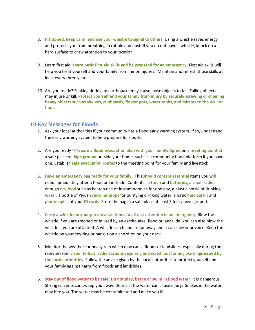- 8. **If trapped, keep calm, and use your whistle to signal to others**. Using a whistle saves energy and protects you from breathing in rubble and dust. If you do not have a whistle, knock on a hard surface to draw attention to your location.
- 9. Learn first aid: **Learn basic first aid skills and be prepared for an emergency.** First aid skills will help you treat yourself and your family from minor injuries. Maintain and refresh those skills at least every three years.
- 10. Are you ready? Shaking during an earthquake may cause loose objects to fall. Falling objects may injure or kill. **Protect yourself and your family from injury by securely screwing or chaining heavy objects such as shelves, cupboards, flower pots, water tanks, and mirrors to the wall or floor.**

#### <span id="page-7-0"></span>**10 Key Messages for Floods**

- 1. Ask your local authorities if your community has a flood early warning system. If so, understand the early warning system to help prepare for floods.
- 2. Are you ready? **Prepare a flood evacuation plan with your family**. **Agree** on a **meeting point** at a safe place on **high ground** outside your home, such as a community flood platform if you have one. Establish **safe evacuation routes** to the meeting point for your family and livestock
- 3. **Have an emergency bag ready for your family**. This **should contain essential** items you will need immediately after a flood or landslide. Contents: a **torch** and **batteries**, a **small radio**, enough **dry food** such as beaten rice or instant noodles for one day, a plastic bottle of drinking **water**, a bottle of Piyush **chlorine drops** for purifying drinking water, a basic **medical kit** and **photocopies** of your **ID cards**. Store the bag in a safe place at least 3 feet above ground.
- 4. **Carry a whistle on your person at all times to attract attention in an emergency**. Blow the whistle if you are trapped or injured by an earthquake, flood or landslide. You can also blow the whistle if you are attacked. A whistle can be heard far away and it can save your voice. Keep the whistle on your key ring or hang it on a chord round your neck.
- 5. Monitor the weather for heavy rain which may cause floods or landslides, especially during the rainy season. **Listen to local radio stations regularly and watch out for any warnings issued by the local authorities**. Follow the advice given by the local authorities to protect yourself and your family against harm from floods and landslides.
- 6. **Stay out of flood water to be safe**. **Do not play, bathe or swim in flood water**. It is dangerous. Strong currents can sweep you away. Debris in the water can cause injury. Snakes in the water may bite you. The water may be contaminated and make you ill.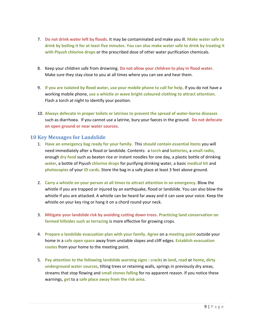- 7. **Do not drink water left by floods**. It may be contaminated and make you ill. **Make water safe to drink by boiling it for at least five minutes. You can also make water safe to drink by treating it with Piyush chlorine drops** or the prescribed dose of other water purification chemicals.
- 8. Keep your children safe from drowning. **Do not allow your children to play in flood water**. Make sure they stay close to you at all times where you can see and hear them.
- 9. **If you are isolated by flood water, use your mobile phone to call for help**. If you do not have a working mobile phone, **use a whistle or wave bright coloured clothing to attract attention**. Flash a torch at night to identify your position.
- 10. **Always defecate in proper toilets or latrines to prevent the spread of water-borne diseases** such as diarrhoea. If you cannot use a latrine, bury your faeces in the ground. **Do not defecate on open ground or near water sources**.

#### <span id="page-8-0"></span>**10 Key Messages for Landslide**

- 1. **Have an emergency bag ready for your family**. This **should contain essential items** you will need immediately after a flood or landslide. Contents: a **torch** and **batteries**, a **small radio**, enough **dry food** such as beaten rice or instant noodles for one day, a plastic bottle of drinking **water**, a bottle of Piyush **chlorine drops** for purifying drinking water, a basic **medical kit** and **photocopies** of your **ID cards**. Store the bag in a safe place at least 3 feet above ground.
- 2. **Carry a whistle on your person at all times to attract attention in an emergency**. Blow the whistle if you are trapped or injured by an earthquake, flood or landslide. You can also blow the whistle if you are attacked. A whistle can be heard far away and it can save your voice. Keep the whistle on your key ring or hang it on a chord round your neck.
- 3. **Mitigate your landslide risk by avoiding cutting down trees**. **Practicing land conservation on farmed hillsides such as terracing** is more effective for growing crops.
- 4. **Prepare a landslide evacuation plan with your family**. **Agree** on a **meeting point** outside your home in a **safe open space** away from unstable slopes and cliff edges. **Establish evacuation routes** from your home to the meeting point.
- 5. **Pay attention to the following landslide warning signs** : **cracks** in **land**, **road** or **home**, **dirty underground water sources**, tilting trees or retaining walls, springs in previously dry areas, streams that stop flowing and **small stones falling** for no apparent reason. If you notice these warnings, **get** to a **safe place away from the risk area**.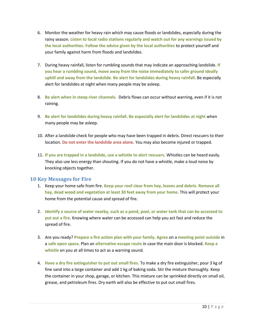- 6. Monitor the weather for heavy rain which may cause floods or landslides, especially during the rainy season. **Listen to local radio stations regularly and watch out for any warnings issued by the local authorities. Follow the advice given by the local authorities** to protect yourself and your family against harm from floods and landslides.
- 7. During heavy rainfall, listen for rumbling sounds that may indicate an approaching landslide. **If you hear a rumbling sound, move away from the noise immediately to safer ground ideally uphill and away from the landslide**. **Be alert for landslides during heavy rainfall**. Be especially alert for landslides at night when many people may be asleep.
- 8. **Be alert when in steep river channels.** Debris flows can occur without warning, even if it is not raining.
- 9. **Be alert for landslides during heavy rainfall. Be especially alert for landslides at night** when many people may be asleep.
- 10. After a landslide check for people who may have been trapped in debris. Direct rescuers to their location**. Do not enter the landslide area alone**. You may also become injured or trapped.
- 11. **If you are trapped in a landslide, use a whistle to alert rescuers**. Whistles can be heard easily. They also use less energy than shouting. If you do not have a whistle, make a loud noise by knocking objects together.

#### <span id="page-9-0"></span>**10 Key Messages for Fire**

- 1. Keep your home safe from fire. **Keep your roof clear from hay, leaves and debris. Remove all hay, dead wood and vegetation at least 30 feet away from your home**. This will protect your home from the potential cause and spread of fire.
- 2. **Identify a source of water nearby, such as a pond, pool, or water tank that can be accessed to put out a fire**. Knowing where water can be accessed can help you act fast and reduce the spread of fire.
- 3. Are you ready? **Prepare a fire action plan with your family**. **Agree** on a **meeting point outside** in a **safe open space**. Plan an **alternative escape route** in case the main door is blocked. **Keep a whistle** on you at all times to act as a warning sound.
- 4. **Have a dry fire extinguisher to put out small fires**. To make a dry fire extinguisher, pour 3 kg of fine sand into a large container and add 1 kg of baking soda. Stir the mixture thoroughly. Keep the container in your shop, garage, or kitchen. This mixture can be sprinkled directly on small oil, grease, and petroleum fires. Dry earth will also be effective to put out small fires.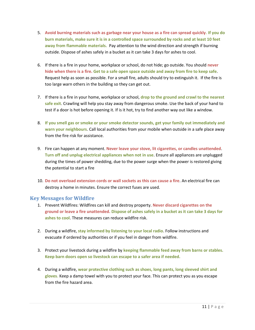- 5. **Avoid burning materials such as garbage near your house as a fire can spread quickly. If you do burn materials, make sure it is in a controlled space surrounded by rocks and at least 10 feet away from flammable materials.** Pay attention to the wind direction and strength if burning outside. Dispose of ashes safely in a bucket as it can take 3 days for ashes to cool.
- 6. If there is a fire in your home, workplace or school, do not hide; go outside. You should **never hide when there is a fire. Get to a safe open space outside and away from fire to keep safe**. Request help as soon as possible. For a small fire, adults should try to extinguish it. If the fire is too large warn others in the building so they can get out.
- 7. If there is a fire in your home, workplace or school, **drop to the ground and crawl to the nearest safe exit**. Crawling will help you stay away from dangerous smoke. Use the back of your hand to test if a door is hot before opening it. If is it hot, try to find another way out like a window.
- 8. **If you smell gas or smoke or your smoke detector sounds, get your family out immediately and warn your neighbours**. Call local authorities from your mobile when outside in a safe place away from the fire risk for assistance.
- 9. Fire can happen at any moment. **Never leave your stove, lit cigarettes, or candles unattended**. **Turn off and unplug electrical appliances when not in use**. Ensure all appliances are unplugged during the times of power shedding, due to the power surge when the power is restored giving the potential to start a fire
- 10. **Do not overload extension cords or wall sockets as this can cause a fire**. An electrical fire can destroy a home in minutes. Ensure the correct fuses are used.

#### <span id="page-10-0"></span>**Key Messages for Wildfire**

- 1. Prevent Wildfires: Wildfires can kill and destroy property. **Never discard cigarettes on the ground or leave a fire unattended. Dispose of ashes safely in a bucket as it can take 3 days for ashes to cool**. These measures can reduce wildfire risk.
- 2. During a wildfire, **stay informed by listening to your local radio**. Follow instructions and evacuate if ordered by authorities or if you feel in danger from wildfire.
- 3. Protect your livestock during a wildfire by **keeping flammable feed away from barns or stables. Keep barn doors open so livestock can escape to a safer area if needed.**
- 4. During a wildfire, **wear protective clothing such as shoes, long pants, long sleeved shirt and gloves.** Keep a damp towel with you to protect your face. This can protect you as you escape from the fire hazard area.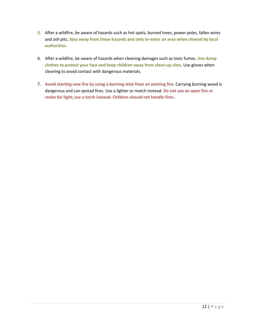- **5.** After a wildfire, be aware of hazards such as hot spots, burned trees, power poles, fallen wires and ash pits. **Stay away from these hazards and only re-enter an area when cleared by local authorities.**
- 6. After a wildfire, be aware of hazards when cleaning damages such as toxic fumes. **Use damp clothes to protect your face and keep children away from clean-up sites**. Use gloves when cleaning to avoid contact with dangerous materials.
- 7. **Avoid starting new fire by using a burning stick from an existing fire**. Carrying burning wood is dangerous and can spread fires. Use a lighter or match instead. **Do not use an open fire or ranko for light; use a torch instead. Children should not handle fires.**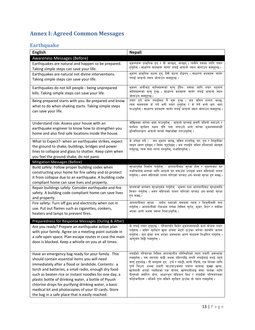# <span id="page-12-0"></span>**Annex I: Agreed Common Messages**

# <span id="page-12-1"></span>**Earthquake**

| <b>English</b>                                                                                                                                                                                                                                                                                                                                                                                                                                                                                     | <b>Nepali</b>                                                                                                                                                                                                                                                                                                                                                                                                                                                                                                   |
|----------------------------------------------------------------------------------------------------------------------------------------------------------------------------------------------------------------------------------------------------------------------------------------------------------------------------------------------------------------------------------------------------------------------------------------------------------------------------------------------------|-----------------------------------------------------------------------------------------------------------------------------------------------------------------------------------------------------------------------------------------------------------------------------------------------------------------------------------------------------------------------------------------------------------------------------------------------------------------------------------------------------------------|
| Awareness Messages (Before)                                                                                                                                                                                                                                                                                                                                                                                                                                                                        |                                                                                                                                                                                                                                                                                                                                                                                                                                                                                                                 |
| Earthquakes are natural and happen so be prepared.<br>Taking simple steps can save your life.                                                                                                                                                                                                                                                                                                                                                                                                      | भूकम्पहरू प्राकृतिक हुन् र यी जान्छन्, जान्छन् । त्यसैले यसका लागि तयार<br>हुनुहोस् । साधारण कदमहरू चालेर तपाईं आफ्नो ज्यान जोगाउन सक्नुहुन्छ ।                                                                                                                                                                                                                                                                                                                                                                 |
| Earthquakes are natural not divine interventions.<br>Taking simple steps can save your life.                                                                                                                                                                                                                                                                                                                                                                                                       | भूकम्प प्राकृतिक घटना हुन्, दैवी घटना होइनन् । साधारण कदमहरू चालेर<br>तपाईं आफ़नो ज्यान जोगाउन सक्नहन्छ।                                                                                                                                                                                                                                                                                                                                                                                                        |
| Earthquakes do not kill people - being unprepared<br>kills. Taking simple steps can save your life.                                                                                                                                                                                                                                                                                                                                                                                                | भूकम्प आफैबाट मानिसहरूको मृत्यु हुँदैन- यसका लागि तयार नहुनाले<br>मानिसहरूको मृत्यु हुन्छ । साधारण कदमहरू चालेर तपाईं आफ्नो ज्यान<br>जोगाउन सक्नुहन्छ ।                                                                                                                                                                                                                                                                                                                                                         |
| Being prepared starts with you. Be prepared and know<br>what to do when shaking starts. Taking simple steps<br>can save your life.                                                                                                                                                                                                                                                                                                                                                                 | तयार हुने काम तपाईँबाट नै सुरू हुन्छ । जब जमिन हल्लन थाल्छ,<br>त्यस सममयमा के गर्ने भनी तयार हुनुहोस् र के गर्ने भन्ने कुरा थाहा<br>पाउनुहोस् । साधारण कदमहरू चालेर तपाईं आफ्नो ज्यान जोगाउन सक्नुहुन्छ ।                                                                                                                                                                                                                                                                                                       |
| Understand risk: Assess your house with an<br>earthquake engineer to know how to strengthen you<br>home and also find safe locations inside the house.                                                                                                                                                                                                                                                                                                                                             | जोखिमका बारेमा थाहा पाउनुहोस् : आफ्नो घरलाई कसरी बलियो बनाउने र<br>घरभित्र सुरक्षित स्थान पनि पत्ता लगाउने भन्ने बारेमा भूकम्पसम्बन्धी<br>इन्जिनियरद्वारा आफ्नो घरको लेखाजोखा गराउनुहोस् ।                                                                                                                                                                                                                                                                                                                      |
| What to Expect?- when an earthquake strikes, expect<br>the ground to shake, buildings, bridges and power<br>lines to collapse and glass to shatter. Keep calm when<br>you feel the ground shake, do not panic                                                                                                                                                                                                                                                                                      | के अपेक्षा गर्ने ? : जब भूकम्प जान्छ, जमिन हल्लनेछ, घर, पुल र बिजुलीका<br>लाइन ध्वस्त हुनेछन् र सिसा फुट्नेछन् । जब तपाईँले जमिन हल्लिएको महसुस<br>गर्नुहुन्छ, त्यस बेला शान्त रहनुहोस्, नआत्तिनुहोस् ।                                                                                                                                                                                                                                                                                                         |
| Mitigation Messages (Before)                                                                                                                                                                                                                                                                                                                                                                                                                                                                       |                                                                                                                                                                                                                                                                                                                                                                                                                                                                                                                 |
| Build safely: Follow proper building codes when<br>constructing your home for fire safety and to protect<br>it from collapse due to an earthquake. A building code<br>compliant home can save lives and property.                                                                                                                                                                                                                                                                                  | सुरक्षापूर्वक निर्माण गर्नुहोस् : आगलागीबाट सुरक्षा होस् र भूकम्पबाट घर<br>नभत्कियोस् भन्नका लागि आफ्नो घर बनाउँदा उपयुक्त भवन संहिताको पालन<br>गर्नुहोस् । भवन संहिताको पालन गरिएको घरबाट धन-जनको सुरक्षा हुन सक्छ ।                                                                                                                                                                                                                                                                                           |
| Repair buildings safely: Consider earthquake and fire<br>safety. A building code compliant home can save lives<br>and property.                                                                                                                                                                                                                                                                                                                                                                    | घरहरूको मरम्मत सुरक्षापूर्वक गर्नुहोस् : भूकम्प तथा आगलागीबाट सुरक्षामाथि<br>विचार गर्नुहोस् । भवन संहिताको पालन गरिएको घरबाट धन-जनको सुरक्षा<br>हन सक्छ।                                                                                                                                                                                                                                                                                                                                                       |
| Fire safety: Turn off gas and electricity when not in<br>use. Put out flames such as cigarettes, cookers,<br>heaters and lamps to prevent fires.                                                                                                                                                                                                                                                                                                                                                   | आगलागीबाट सुरक्षा : प्रयोग नभएको समयमा ग्यास र बिजुलीबत्ती बन्द<br>गर्नुहोस् । आगलागीको रोकथाम गर्नका निमित्त चुरोट, कुकर, हिटर र बत्तीमा<br>भएका आगो अथवा ज्वाला निभाउन्होस् ।                                                                                                                                                                                                                                                                                                                                 |
| Preparedness for Response Messages (During & After)                                                                                                                                                                                                                                                                                                                                                                                                                                                |                                                                                                                                                                                                                                                                                                                                                                                                                                                                                                                 |
| Are you ready? Prepare an earthquake action plan<br>with your family. Agree on a meeting point outside in<br>a safe open space. Plan escape routes in case the main<br>door is blocked. Keep a whistle on you at all times.                                                                                                                                                                                                                                                                        | के तपाईं तयार हुनुहुन्छ ? परिवारसँग मिलेर भूकम्पसम्बन्धी कार्य योजना तयार<br>गर्नुहोस् । बाहिर सुरक्षित खुला क्षेत्रमा भेट्ने ठाउँका बारेमा सहमति कायम<br>गर्नुहोस् । मूल ढोका बन्द भएका अवस्थामा भाग्ने बाटाहरू निर्धारित गर्नुहोस् ।<br>आफूसँग सिट्ठी राख्नुहोस् ।                                                                                                                                                                                                                                            |
| Have an emergency bag ready for your family. This<br>should contain essential items you will need<br>immediately after a flood or landslide. Contents: a<br>torch and batteries, a small radio, enough dry food<br>such as beaten rice or instant noodles for one day, a<br>plastic bottle of drinking water, a bottle of Piyush<br>chlorine drops for purifying drinking water, a basic<br>medical kit and photocopies of your ID cards. Store<br>the bag in a safe place that is easily reached. | तपाईँको परिवारका निमित्त आपत्कालीन परिस्थितिको ब्याग तयारी अवस्थामा<br>राख्नुहोस् । यस ब्यागमा बाढी अथवा पहिरापछि लगत्तै तपाईलाई नभई नहुने<br>वस्तु हुनुपर्दछ । यी वस्तुहरू हुन् : टर्च र ब्याट्री, सानो रेडियो, एक दिनका लागि<br>पुग्ने चिउरा अथवा तयारी चाउचाउजस्ता पर्याप्त मात्रामा सुक्खा खाना,<br>खानेपानी भएको प्लास्टिको एक बोतल, खानेपानीलाई सफा पार्नका लागि<br>पीयूषको क्लोरिन थोपा, आधारभूत मेडिकल किट र तपाईँको परिचयपत्रका<br>फोटोकपीहरू। सजिलै पुग्न सकिने सुरक्षित ठाउँमा यो ब्याग राख्नुहोस् । |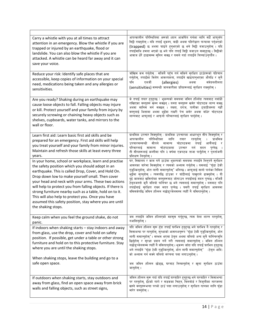| Carry a whistle with you at all times to attract<br>attention in an emergency. Blow the whistle if you are<br>trapped or injured by an earthquake, flood or<br>landslide. You can also blow the whistle if you are<br>attacked. A whistle can be heard far away and it can<br>save your voice.                                                                                                                                                                                                                                              | आपत्कालीन परिस्थितिमा अरूको ध्यान आकर्षित गर्नका लागि सधैँ आफूसँग<br>सिट्ठी राख्नुहोस् । यदि तपाईं भूकम्प, बाढी अथवा पहिरोद्वारा फन्दामा पर्नुभएको<br>(trapped) छ अथवा घाइते हुनुभएको छ भने सिट्ठी बजाउनुहोस् । यदि<br>तपाईंमाथि हमला भएको छ भने पनि तपाईं सिट्ठी बजाउन सक्नुहुन्छ । सिट्ठीको<br>आवाज धेरै टाढासम्म सुनिन सक्छ र यसले गर्दा तपाईंले चिच्याउनुपर्दैन ।                                                                                                                                                                                                                                               |
|---------------------------------------------------------------------------------------------------------------------------------------------------------------------------------------------------------------------------------------------------------------------------------------------------------------------------------------------------------------------------------------------------------------------------------------------------------------------------------------------------------------------------------------------|---------------------------------------------------------------------------------------------------------------------------------------------------------------------------------------------------------------------------------------------------------------------------------------------------------------------------------------------------------------------------------------------------------------------------------------------------------------------------------------------------------------------------------------------------------------------------------------------------------------------|
| Reduce your risk: Identify safe places that are<br>accessible, keep copies of information on your special<br>need, medications being taken and any allergies or<br>sensitivities.                                                                                                                                                                                                                                                                                                                                                           | जोखिम कम गर्नुहोस् : सजिलै पहुँच गर्न सकिने सुरक्षित ठाउँहरूको पहिचान<br>गर्नुहोस्, तपाईँका विशेष आवश्यकता, तपाईँले खाइरहनुभएका औषधि र कुनै<br>(allergies)<br>संवेदनशीलता<br>पनि<br>एलजी<br>अथवा<br>(sensitivities) सम्बन्धी जानकारीका प्रतिहरूलाई सुरक्षित राख्नुहोस् ।                                                                                                                                                                                                                                                                                                                                            |
| Are you ready? Shaking during an earthquake may<br>cause loose objects to fall. Falling objects may injure<br>or kill. Protect yourself and your family from injury by<br>securely screwing or chaining heavy objects such as<br>shelves, cupboards, water tanks, and mirrors to the<br>wall or floor.                                                                                                                                                                                                                                      | के तपाईं तयार हुनुहुन्छ ? भूकम्पको समयमा जमिन हल्लिँदा त्यसबाट नबाँधी<br>राखिएका वस्तुहरू खस्न सक्छन् । यस्ता वस्तुहरू खसेर चोटपटक लाग्न सक्छ<br>अथवा मानिस मर्न सक्छन् । तख्ता, दराज, पानीका ट्याङ्रीजस्ता गह्रौँ<br>वस्तुलाई भित्तामा अथवा भूईंमा राम्ररी पेच कसेर अथवा बाँधेर चोटपटक<br>लाग्नबाट आफूलाई र आफ्नो परिवारलाई सुरक्षित पार्नुहोस् ।                                                                                                                                                                                                                                                                  |
| Learn first aid: Learn basic first aid skills and be<br>prepared for an emergency. First aid skills will help<br>you treat yourself and your family from minor injuries.<br>Maintain and refresh those skills at least every three<br>years.                                                                                                                                                                                                                                                                                                | प्राथमिक उपचार सिक्नुहोस् : प्राथमिक उपचारका आधारभूत सीप सिक्नुहोस् र<br>आपत्कालीन<br>परिस्थितिका<br>लागि<br>तयार<br>रहनहोस्<br>प्राथमिक<br>उपचारसम्बन्धी<br>सीपले<br>चोटपटकमा<br>तपाईँ<br>आफैंलाई<br>सामान्य<br>र<br>परिवारलाई<br>सामान्य<br>चोटपटकमा<br>उपचार<br>गर्न मदत<br>पग्नेछ<br>ती सीपहरूलाई कम्तीमा पनि ३ वर्षमा एकपटक ताजा पार्नुहोस् र पुनर्ताजगी<br>प्रशिक्षण लिनुहोस् ।                                                                                                                                                                                                                               |
| In your home, school or workplace, learn and practise<br>the safety position which you should adopt in an<br>earthquake. This is called Drop, Cover, and Hold On.<br>Drop down low to make yourself small. Then cover<br>your head and neck with your arms. These two actions<br>will help to protect you from falling objects. If there is<br>strong furniture nearby such as a table, hold on to it.<br>This will also help to protect you. Once you have<br>assumed this safety position, stay where you are until<br>the shaking stops. | घर, विद्यालय र काम गर्ने ठाउँमा भूकम्पको समयमा तपाईँले लिनुपर्ने सुरक्षित<br>आसनका बारेमा सिक्नुहोस् र त्यसको अभ्यास गर्नुहोस् । यसलाई 'घुँडा टेकी<br>गुडुल्किनुहोस्, ओत लागी समात्नुहोस्' भनिन्छ । आफूलाई सानो पार्नका निमित्त<br>भूईंमा सुत्नुहोस् । त्यसपछि टाउका र घाँटीलाई पाखुराले ढाक्नुहोस् । यी<br>दुई कामबाट खसिरहेका वस्तुहरूबाट जोगाउन तपाईँलाई मदत पुग्दछ । नजिकै<br>टेबुलजस्तो कुनै बलियो फर्निचर छ भने त्यसलाई समात्नुहोस् । यसबाट पनि<br>तपाईँलाई सुरक्षित राख्न मदत पुग्नेछ । यसरी तपाईँ सुरक्षित आसनमा<br>बसिसकेपछि जमिन हल्लिन नछोड्ञ्जेलसम्म त्यहीँ नै बसिरहनुहोस् ।                            |
| Keep calm when you feel the ground shake, do not<br>panic.                                                                                                                                                                                                                                                                                                                                                                                                                                                                                  | जब तपाईँले जमिन हल्लिएको महसुस गर्नुहुन्छ, त्यस बेला शान्त रहनुहोस्,<br>नआत्तिनुहोस् ।                                                                                                                                                                                                                                                                                                                                                                                                                                                                                                                              |
| If indoors when shaking starts - stay indoors and away<br>from glass, use the drop, cover and hold on safety<br>position. If possible, get under a table or other strong<br>furniture and hold on to this protective furniture. Stay<br>where you are until the shaking stops.<br>When shaking stops, leave the building and go to a<br>safe open space.                                                                                                                                                                                    | यदि जमिन हल्लिन सुरू हुँदा तपाईं घरभित्र हुनुहुन्छ भने घरभित्र नै रहनुहोस् र<br>सिसाभन्दा पर रहनुहोस्, सुरक्षाको आसनअनुरूप 'घुँडा टेकी गुडुल्किनुहोस्, ओत<br>लागी समात्नुहोस्'। सम्भव भएमा टेबुल अथवा बलियो अन्य कुनै फर्निचरमुनि<br>छिर्नुहोस् र सुरक्षा प्रदान गर्ने गरी त्यसलाई समात्नुहोस् । जमिन हल्लिन<br>नछोड्ञ्जेलसम्म त्यहीँ नै बसिरहनुहोस् । भूकम्प जाँदा यदि तपाईँ घरभित्र हुनुहुन्छ<br>भने तपाईँले 'घुँडा टेकी गुडुल्किनुहोस्, ओत लागी समात्नुहोस्' (टेबुल आदि)<br>को अभ्यास गर्न सक्ने बलियो संरचना पत्ता लगाउन्होस् ।<br>जब जमिन हल्लिन छोड्छ, घरबाट निस्कनुहोस् र खुला सुरक्षित ठाउँमा<br>जानुहोस् । |
| If outdoors when shaking starts, stay outdoors and<br>away from glass, find an open space away from brick<br>walls and falling objects, such as street signs,                                                                                                                                                                                                                                                                                                                                                                               | जमिन हल्लिन सुरू गर्दा यदि तपाईँ घरबाहिर हुनुहुन्छ भने घरबाहिर र सिसाभन्दा<br>पर रहनुहोस्, ईंटको गारो र सडकका चिहन, बिलबोर्ड र बिजुलीका तारजस्ता<br>खस्ने वस्तुहरूभन्दा परको ठाउँ पत्ता लगाउनुहोस् र सुरक्षित रहनका लागि घुँडा<br>मारेर बस्नुहोस् ।                                                                                                                                                                                                                                                                                                                                                                 |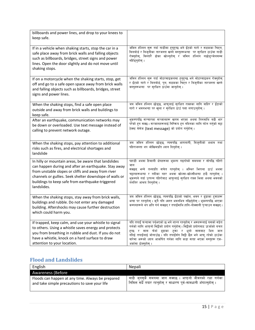| billboards and power lines, and drop to your knees to<br>keep safe.                                                                                                                                                                                                                              |                                                                                                                                                                                                                                                                                                                                                                                         |
|--------------------------------------------------------------------------------------------------------------------------------------------------------------------------------------------------------------------------------------------------------------------------------------------------|-----------------------------------------------------------------------------------------------------------------------------------------------------------------------------------------------------------------------------------------------------------------------------------------------------------------------------------------------------------------------------------------|
| If in a vehicle when shaking starts, stop the car in a<br>safe place away from brick walls and falling objects<br>such as billboards, bridges, street signs and power<br>lines. Open the door slightly and do not move until<br>shaking stops.                                                   | जमिन हल्लिन सुरू गर्दा गाडीमा हुनुहुन्छ भने ईंटको गारो र सडकका चिहन,<br>विलबोर्ड र बिजुलीका तारजस्ता खस्ने वस्तुहरूभन्दा पर सुरक्षित ठाउँमा गाडी<br>रोक्नुहोस्, विस्तारै ढोका खोल्नुहोस् र जमिन हल्लिन नछोड्ञ्जेलसम्म<br>नहिँड्नुहोस् ।                                                                                                                                                 |
| If on a motorcycle when the shaking starts, stop, get<br>off and go to a safe open space away from brick walls<br>and falling objects such as billboards, bridges, street<br>signs and power lines.                                                                                              | जमिन हल्लिन सुरू गर्दा मोटरसाइकलमा हुनुहुन्छ भने मोटरसाइकल रोक्नुहोस्<br>र ईंटको गारो र बिलबोर्ड, पुल, सडकका चिहन र बिजुलीका तारजस्ता खस्ने<br>वस्तुहरूभन्दा पर सुरक्षित ठाउँमा जानुहोस् ।                                                                                                                                                                                              |
| When the shaking stops, find a safe open place<br>outside and away from brick walls and buildings to<br>keep safe.                                                                                                                                                                               | जब जमिन हल्लिन छोड्छ, आफूलाई सुरक्षित राख्नका लागि बाहिर र ईंटाको<br>गारो र भवनभन्दा पर खुला र सुरक्षित ठाउँ पत्ता लगाउनुहोस् ।                                                                                                                                                                                                                                                         |
| After an earthquake, communication networks may<br>be down or overloaded. Use text message instead of<br>calling to prevent network outage.                                                                                                                                                      | भूकम्पपछि सञ्चारका सञ्जालहरू खतम भएका अथवा तिनमाथि बढी भार<br>परेको हुन सक्छ। सञ्जालहरूलाई निष्किय हुन नदिनका लागि फोन गर्नुको सट्टा<br>टेक्स्ट मेसेज (text message) को प्रयोग गर्नुहोस् ।                                                                                                                                                                                              |
| When the shaking stops, pay attention to additional<br>risks such as fires, and electrical shortages and<br>landslide                                                                                                                                                                            | जब जमिन हल्लिन छोड्छ, त्यसपछि आगलागी, बिजुलीको अभाव तथा<br>पहिराजस्ता थप जोखिमप्रति ध्यान दिन्होस् ।                                                                                                                                                                                                                                                                                    |
| In hilly or mountain areas, be aware that landslides<br>can happen during and after an earthquake. Stay away<br>from unstable slopes or cliffs and away from river<br>channels or gullies. Seek shelter downslope of walls or<br>buildings to keep safe from earthquake-triggered<br>landslides. | पहाडी अथवा हिमाली क्षेत्रहरूमा भूकम्प गइरहेको समयमा र सोपछि पहिरो<br>जान<br>सक्छन् भन्ने तथ्यप्रति सचेत रहनुहोस् । अस्थिर भिराला ठाउँ अथवा<br>चट्टानहरूभन्दा र नदीका नहर अथवा खोल्सा-खोल्सीभन्दा टाढै रहनुहोस् ।<br>भूकम्पले गर्दा उत्पन्न पहिरोबाट आफूलाई सुरक्षित राख्न भित्ता अथवा भवनको<br>तलतिर आश्रय लिन्होस् ।                                                                   |
| When the shaking stops, stay away from brick walls,<br>buildings and rubble. Do not enter any damaged<br>building. Aftershocks may cause further destruction<br>which could harm you.                                                                                                            | जब जमिन हल्लिन छोड्छ, त्यसपछि ईंटाको पर्खाल, भवन र ढुङ्गाका टुकाहरू<br>भन्दा पर रहनुहोस् । कुनै पनि ध्वस्त भवनभित्र नछिर्नुहोस् । भूकम्पपछि आएका<br>कम्पनहरूले थप क्षति गर्न सक्छन् र तपाईंमाथि हानि-नोक्सानी प्ऱ्याउन सक्छन् ।                                                                                                                                                         |
| If trapped, keep calm, and use your whistle to signal<br>to others. Using a whistle saves energy and protects<br>you from breathing in rubble and dust. If you do not<br>have a whistle, knock on a hard surface to draw<br>attention to your location.                                          | यदि तपाईं फन्दामा पर्नुभएको छ भने शान्त रहनुहोस् र अरूहरूलाई यसको सङ्केत<br>गर्नको लागि आफुनो सिट्ठीको प्रयोग गर्नुहोस् । सिट्ठीको प्रयोगबाट ऊर्जाको बचत<br>हुन्छ र सास फेर्दा ढुङ्गाका टुका र धूलो सासबाट भित्र जान<br>नदिई तपाईंलाई जोगाउँछ। यदि तपाईँसँग सिट्ठी छैन भने आफ् रहेको ठाउँका<br>बारेमा अरूको ध्यान आकर्षित गर्नका लागि कडा सतह भएका वस्तुहरू एक-<br>अर्कामा ठोक्नुहोस् । |

# <span id="page-14-0"></span>**Flood and Landslides**

| English                                                                                            | Nepali                                                                                                                       |
|----------------------------------------------------------------------------------------------------|------------------------------------------------------------------------------------------------------------------------------|
| <b>Awareness (Before</b>                                                                           |                                                                                                                              |
| Floods can happen at any time. Always be prepared<br>and take simple precautions to save your life | बाढी जुनसुकै समयमा जान सक्दछ । आफुनो जीवनको रक्षा गर्नका<br>निमित्त सधैँ तयार रहन्होस् र साधारण पूर्व-सावधानी अँगाल्न्होस् । |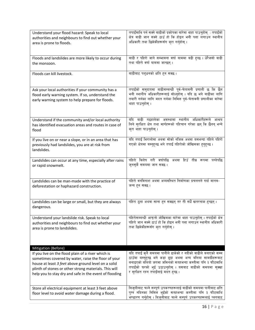| Understand your flood hazard: Speak to local                                                                                                                | तपाईंमाथि पर्न सक्ने बाढीको प्रकोपका बारेमा थाहा पाउनुहोस् : तपाईंको                                                                                                                                                    |
|-------------------------------------------------------------------------------------------------------------------------------------------------------------|-------------------------------------------------------------------------------------------------------------------------------------------------------------------------------------------------------------------------|
| authorities and neighbours to find out whether your                                                                                                         | क्षेत्र बाढी जान सक्ने ठाउँ हो कि होइन भनी पत्ता लगाउन स्थानीय                                                                                                                                                          |
| area is prone to floods.                                                                                                                                    | अधिकारी तथा छिमेकीहरूसँग क्रा गर्नुहोस् ।                                                                                                                                                                               |
| Floods and landslides are more likely to occur during                                                                                                       | बाढी र पहिरो जाने सम्भावना वर्षा याममा बढी हुन्छ । धेरैजसो बाढी                                                                                                                                                         |
| the monsoon.                                                                                                                                                | तथा पहिरो वर्षा याममा जान्छन्।                                                                                                                                                                                          |
| Floods can kill livestock.                                                                                                                                  | बाढीबाट पश्धनको क्षति हन सक्छ।                                                                                                                                                                                          |
| Ask your local authorities if your community has a<br>flood early warning system. If so, understand the<br>early warning system to help prepare for floods. | तपाईँको समुदायमा बाढीसम्बन्धी पूर्व-चेतावनी प्रणाली छ कि छैन<br>भनी स्थानीय अधिकारीहरूलाई सोध्नुहोस् । यदि छ भने बाढीका लागि<br>तयारी गर्नका लागि मदत गर्नका निमित्त पूर्व-चेतावनी प्रणालीका बारेमा<br>थाहा पाउनुहोस् । |
| Understand if the community and/or local authority                                                                                                          | यदि बाढी गइहालेका अवस्थामा स्थानीय अधिकारीहरूले आश्रय                                                                                                                                                                   |
| has identified evacuation areas and routes in case of                                                                                                       | लिने सुरक्षित क्षेत्र तथा मार्गहरूको पहिचान गरेका छन् कि छैनन् भन्ने                                                                                                                                                    |
| flood                                                                                                                                                       | करा थाहा पाउनुहोस् ।                                                                                                                                                                                                    |
| If you live on or near a slope, or in an area that has<br>previously had landslides, you are at risk from<br>landslides.                                    | यदि तपाईं भिरालोमा अथवा सोको नजिक अथवा यसभन्दा पहिले पहिरो<br>गएको क्षेत्रमा बस्नुहुन्छ भने तपाईं पहिरोको जोखिमका हुनुहुन्छ।                                                                                            |
| Landslides can occur at any time, especially after rains                                                                                                    | पहिरो विशेष गरी वर्षापछि अथवा हिउँ तीव्र रूपमा पग्लेपछि                                                                                                                                                                 |
| or rapid snowmelt.                                                                                                                                          | जुनसुकै समयमा जान सक्छ ।                                                                                                                                                                                                |
| Landslides can be man-made with the practice of                                                                                                             | पहिरो वनविनाश अथवा अव्यवस्थित निर्माणका प्रचलनले गर्दा मानव-                                                                                                                                                            |
| deforestation or haphazard construction.                                                                                                                    | जन्य हन सक्छ।                                                                                                                                                                                                           |
| Landslides can be large or small, but they are always<br>dangerous.                                                                                         | पहिरा ठूला अथवा साना हुन सक्छन् तर ती सधैँ खतरनाक हन्छन् ।                                                                                                                                                              |
| Understand your landslide risk. Speak to local                                                                                                              | पहिरोसम्बन्धी आफ्नो जोखिमका बारेमा थाहा पाउनुहोस् । तपाइँको क्षेत्र                                                                                                                                                     |
| authorities and neighbours to find out whether your                                                                                                         | पहिरो जान सक्ने ठाउँ हो कि होइन भनी पत्ता लगाउन स्थानीय अधिकारी                                                                                                                                                         |
| area is prone to landslides.                                                                                                                                | तथा छिमेकीहरूसँग कुरा गर्नुहोस् ।                                                                                                                                                                                       |
| Mitigation (Before)                                                                                                                                         |                                                                                                                                                                                                                         |
| If you live on the flood plain of a river which is                                                                                                          | यदि तपाईं कुनै समयमा पानीले ढाकेको र नदीको बाढीले बनाएको सम्म                                                                                                                                                           |
| sometimes covered by water, raise the floor of your                                                                                                         | ठाउँमा बस्नुहुन्छ भने कडा ढुङ्गा अथवा अन्य बलिया सामग्रीहरूबाट                                                                                                                                                          |
| house at least 3 feet above ground level on a solid                                                                                                         | बनाइएको बलियो जगमा जमिनको सतहभन्दा कम्तीमा पनि ३ फीटमाथि                                                                                                                                                                |
| plinth of stones or other strong materials. This will                                                                                                       | तपाईँको घरको भुईं उठाउनुहोस् । यसबाट बाढीको समयमा सुक्खा                                                                                                                                                                |
| help you to stay dry and safe in the event of flooding                                                                                                      | र सुरक्षित रहन तपाईँलाई मदत हुन्छ ।                                                                                                                                                                                     |
| Store all electrical equipment at least 3 feet above<br>floor level to avoid water damage during a flood.                                                   | बिजुलीबाट चल्ने सम्पूर्ण उपकरणहरूलाई बाढीको समयमा पानीबाट क्षति<br>पुग्न नदिनका निमित्त भुईँको सतहभन्दा कम्तीमा पनि ३ फीटमाथि<br>भण्डारण गर्नुहोस् । बिजुलीबाट चल्ने सम्पूर्ण उपकरणहरूलाई प्लगबाट                       |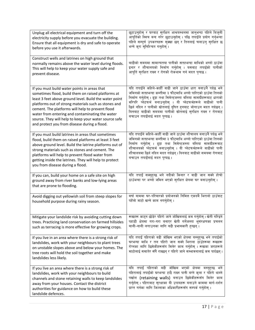| Unplug all electrical equipment and turn off the<br>electricity supply before you evacuate the building.<br>Ensure that all equipment is dry and safe to operate<br>before you use it afterwards.                                                                                                                                                                                                                                    | छुटाउन्होस् र घरबाट सुरक्षित आश्रयस्थलमा जान्भन्दा पहिले बिज्ली<br>आपूर्तिको स्विच बन्द गरेर छटाउनहोस् । पछि तपाईँले प्रयोग गर्नभन्दा<br>पहिले सम्पूर्ण उपकरणहरू सुक्खा छन् र तिनलाई चलाउन् सुरक्षित छ<br>भन्ने करा सुनिश्चित गनुहोस् ।                                                                                                                                                                                                 |
|--------------------------------------------------------------------------------------------------------------------------------------------------------------------------------------------------------------------------------------------------------------------------------------------------------------------------------------------------------------------------------------------------------------------------------------|-----------------------------------------------------------------------------------------------------------------------------------------------------------------------------------------------------------------------------------------------------------------------------------------------------------------------------------------------------------------------------------------------------------------------------------------|
| Construct wells and latrines on high ground that<br>normally remains above the water level during floods.<br>This will help to keep your water supply safe and<br>prevent disease.                                                                                                                                                                                                                                                   | बाढीको समयमा सामान्यतया पानीको सतहभन्दा माथिको अग्लो ठाउँमा<br>इनार र शौचालयको निर्माण गर्नुहोस् । यसबाट तपाईंको पानीको<br>आपूर्ति सुरक्षित राख्न र रोगको रोकथाम गर्न मदत पुग्दछ।                                                                                                                                                                                                                                                       |
| If you must build water points in areas that<br>sometimes flood, build them on raised platforms at<br>least 3 feet above ground level. Build the water point<br>platforms out of strong materials such as stones and<br>cement. The platforms will help to prevent flood<br>water from entering and contaminating the water<br>source. They will help to keep your water source safe<br>and protect you from disease during a flood. | यदि तपाईँले कहिले-काहीँ बाढी जाने ठाउँमा धारा बनाउनै पर्दछ भने<br>जमिनको सतहभन्दा कम्तीमा ३ फीटमाथि अग्लो पारिएको ठाउँमा तिनको<br>निर्माण गर्नुहोस् । ढुङ्गा तथा सिमेन्टजस्ता बलिया सामग्रीहरूबाट धाराको<br>वरिपरि प्लेटफर्म बनाउनुहोस् । यी प्लेटफर्महरूले बाढीको पानी<br>छिर्न नदिन र पानीको स्रोतलाई दूषित हुनबाट जोगाउन मदत गर्दछन् ।<br>यिनबाट बाढीको समयमा पानीको स्रोतलाई सुरक्षित राख्न र रोगबाट<br>बचाउन तपाईंलाई मदत पुग्दछ । |
| If you must build latrines in areas that sometimes<br>flood, build them on raised platforms at least 3 feet<br>above ground level. Build the latrine platforms out of<br>strong materials such as stones and cement. The<br>platforms will help to prevent flood water from<br>getting inside the latrines. They will help to protect<br>you from disease during a flood.                                                            | यदि तपाईंले कहिले-काहीँ बाढी जाने ठाउँमा शौचालय बनाउनै पर्दछ भने<br>जमिनको सतहभन्दा कम्तीमा ३ फीटमाथि अग्लो पारिएको ठाउँमा तिनको<br>निर्माण गर्नुहोस् । ढुङ्गा तथा सिमेन्टजस्ता बलिया सामग्रीहरूबाट<br>शौचालयको प्लेटफर्म बनाउन्होस् । यी प्लेटफर्महरूले बाढीको पानी<br>शौचालयमा छिर्न नदिन मदत गर्दछन् । यिनबाट बाढीको समयमा रोगबाट<br>बचाउन तपाईंलाई मदत पुग्दछ।                                                                      |
| If you can, build your home on a safe site on high<br>ground away from river banks and low-lying areas<br>that are prone to flooding.                                                                                                                                                                                                                                                                                                | यदि तपाईं सक्नुहुन्छ भने नदीको किनार र बाढी जान सक्ने होचो<br>ठाउँभन्दा पर अग्लो जमिन भएको सुरक्षित क्षेत्रमा घर बनाउनुहोस् ।                                                                                                                                                                                                                                                                                                           |
| Avoid digging out yellowish soil from steep slopes for<br>household purpose during rainy season.                                                                                                                                                                                                                                                                                                                                     | वर्षा याममा घर-परिवारको प्रयोजनको निमित्त एकदमै भिरालो ठाउँबाट<br>पहेँलो माटो खन्ने काम नगर्नुहोस् ।                                                                                                                                                                                                                                                                                                                                    |
| Mitigate your landslide risk by avoiding cutting down<br>trees. Practicing land conservation on farmed hillsides<br>such as terracing is more effective for growing crops.                                                                                                                                                                                                                                                           | रूखहरू काटुन छाडर पाहरा जान जााखमलाई कम गनहास् । खता गारईन<br>पहाडी क्षेत्रमा गरा-गरा बनाएर खेती गर्नेजस्ता भूसंरक्षणका प्रचलन<br>बाली-नाली लगाउनका लागि बढी प्रभावकारी हुन्छन् ।                                                                                                                                                                                                                                                       |
| If you live in an area where there is a strong risk of<br>landslides, work with your neighbours to plant trees<br>on unstable slopes above and below your homes. The<br>tree roots will hold the soil together and make<br>landslides less likely.                                                                                                                                                                                   | यदि तपाईं पहिराको बढी जोखिम भएको क्षेत्रमा बस्नुहुन्छ भने तपाईंको<br>घरभन्दा माथि र तल पहिरो जान सक्ने भिराला ठाउँहरूमा रूखहरू<br>रोप्नका लागि छिमेकीहरूसँग मिलेर काम गर्नुहोस् । रूखका जराहरूले<br>माटोलाई समातेर सँगै राख्छन् र पहिरो जाने सम्भावनालाई कम पार्दछन्।                                                                                                                                                                   |
| If you live an area where there is a strong risk of<br>landslides, work with your neighbours to build<br>channels and stone retaining walls to keep landslides<br>away from your houses. Contact the district<br>authorities for guidance on how to build these<br>landslide defences.                                                                                                                                               | यदि तपाईं पहिराको बढी जोखिम भएको क्षेत्रमा बस्नुहुन्छ भने<br>पहिरालाई तपाईँको घरभन्दा टाढै राख्न पानी बग्ने कुला र पहिरो थाम्ने<br>पर्खाल (retaining walls) बनाउन छिमेकीहरूसँग मिलेर काम<br>गर्नुहोस् । पहिराबाट सुरक्षाका यी उपायहरू बनाउने काममा मार्ग-दर्शन<br>प्राप्त गर्नका लागि जिल्लाका अधिकारीहरूसँग सम्पर्क गर्नुहोस् ।                                                                                                        |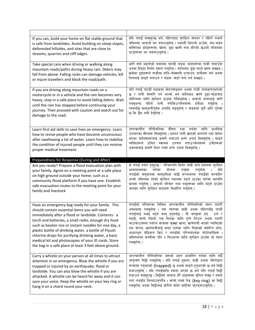| If you can, build your home on flat stable ground that<br>is safe from landslides. Avoid building on steep slopes,<br>deforested hillsides, and sites that are close to<br>streams, quarries and cliff edges.                                                                                                                                                                                                                                                                                            | यदि तपाईं सक्नुहुन्छ भने, पहिराबाट सुरक्षित समथर र पहिरो नजाने<br>जमिनमा आफ्नो घर बनाउनुहोस् । एकदमै भिरालो ठाउँमा, वन-जङ्गल<br>मासिएका डाँडाँहरूमा, खोला, ढुङ्गा खानी तथा भीरको छेउको नजिकका<br>ठाउँहरूमा घर नबनाउन्होस् ।                                                                                                                                                                                                                                                                                                                |
|----------------------------------------------------------------------------------------------------------------------------------------------------------------------------------------------------------------------------------------------------------------------------------------------------------------------------------------------------------------------------------------------------------------------------------------------------------------------------------------------------------|--------------------------------------------------------------------------------------------------------------------------------------------------------------------------------------------------------------------------------------------------------------------------------------------------------------------------------------------------------------------------------------------------------------------------------------------------------------------------------------------------------------------------------------------|
| Take special care when driving or walking along<br>mountain roads/paths during heavy rain. Debris may<br>fall from above. Falling rocks can damage vehicles, kill<br>or injure travellers and block the road/path.                                                                                                                                                                                                                                                                                       | भारी वर्षा भइरहेको समयमा पहाडी सडक⁄बाटाहरूमा गाडी चलाउँदा<br>अथवा हिँड्दा विशेष ख्याल गर्नुहोस् । माथिबाट ढ्ङ्ग-माटो खस्न सक्छन् ।<br>खसेका ढुङ्गाहरूले गाडीमा हानि-नोक्सानी पुऱ्याउन, यात्रीहरू मर्न अथवा<br>तिनलाई घाइते बनाउन र सडक/बाटो बन्द गर्न सक्छन्।                                                                                                                                                                                                                                                                              |
| If you are driving along mountain roads on a<br>motorcycle or in a vehicle and the rain becomes very<br>heavy, stop in a safe place to avoid falling debris. Wait<br>until the rain has stopped before continuing your<br>journey. Then proceed with caution and watch out for<br>damage to the road.                                                                                                                                                                                                    | यदि तपाईं पहाडी सडकमा मोटरसाइकल अथवा गाडी चलाइरहनुभएको<br>छ र पानी बेस्सरी पर्न थाल्यो भने माथिबाट खस्ने ढ्ङ्ग-माटाबाट<br>जोगिनका लागि सुरक्षित ठाउँमा रोकिनुहोस् । आफ्नो यात्रालाई जारी<br>राख्न्भन्दा पहिले पानी नरोकिउञ्जेलसम्म प्रतीक्षा गर्नुहोस् ।<br>त्यसपछि सावधानीपूर्वक अगाडि बढ्नुहोस् र सडकमा कुनै क्षति पुगेको<br>छ कि छैन भनी हेर्नुहोस् ।                                                                                                                                                                                   |
| Learn first aid skills to save lives an emergency. Learn<br>how to revive people who have become unconscious<br>after swallowing a lot of water. Learn how to stabilise<br>the condition of injured people until they can receive<br>proper medical treatment.                                                                                                                                                                                                                                           | आपत्कालीन परिस्थितिमा जीवन रक्षा गर्नका लागि<br>प्राथमिक<br>उपचारका सीपहरू सिक्नुहोस् । प्रशस्त पानी खाएको कारणले गर्दा बेहोश<br>भएका मानिसहरूलाई कसरी बचाउने भन्ने उपाय सिक्नुहोस् । घाइते<br>व्यक्तिहरूले उचित स्वास्थ्य उपचार नपाउञ्जेलसम्म उनीहरूको<br>अवस्थालाई कसरी स्थिर राख्ने भन्ने उपाय सिक्नुहोस् ।                                                                                                                                                                                                                             |
| Preparedness for Response (During and After)                                                                                                                                                                                                                                                                                                                                                                                                                                                             |                                                                                                                                                                                                                                                                                                                                                                                                                                                                                                                                            |
|                                                                                                                                                                                                                                                                                                                                                                                                                                                                                                          |                                                                                                                                                                                                                                                                                                                                                                                                                                                                                                                                            |
| Are you ready? Prepare a flood evacuation plan with<br>your family. Agree on a meeting point at a safe place<br>on high ground outside your home, such as a<br>community flood platform if you have one. Establish<br>safe evacuation routes to the meeting point for your<br>family and livestock                                                                                                                                                                                                       | के तपाईं तयार हनुहुन्छ ? परिवारसँग मिलेर बाढी जाने समयमा सुरक्षित<br>तर्जमा<br>बारेमा<br>योजना<br>गर्नुहोस्<br>आश्रयस्थलका<br>यदि<br>तपाईँको समुदायमा सामुदायिक बाढी मञ्चजस्ता तपाईँको घरबाहिर<br>अग्लो जमिनमा रहेको सुरक्षित स्थानमा भेट्ने ठाउँका बारेमा सहमति<br>कायम गर्नुहोस् । आफ्नो परिवार तथा पशुहरूका लागि भेट्ने ठाउँमा<br>जानका लागि सुरक्षित बाटाहरू निर्धारित गर्नुहोस् ।                                                                                                                                                     |
| Have an emergency bag ready for your family. This<br>should contain essential items you will need<br>immediately after a flood or landslide. Contents: a<br>torch and batteries, a small radio, enough dry food<br>such as beaten rice or instant noodles for one day, a<br>plastic bottle of drinking water, a bottle of Piyush<br>chlorine drops for purifying drinking water, a basic<br>medical kit and photocopies of your ID cards. Store<br>the bag in a safe place at least 3 feet above ground. | तपाईँको परिवारका निमित्त आपत्कालीन परिस्थितिको ब्याग तयारी<br>अवस्थामा राख्न्होस् । यस ब्यागमा बाढी अथवा पहिरापछि लगत्तै<br>तपाईलाई नभई नहुने वस्तु हुनुपर्दछ । यी वस्तुहरू हुन् : टर्च र<br>ब्याट्री, सानो रेडियो, एक दिनका लागि पुग्ने चिउरा अथवा तयारी<br>चाउचाउजस्ता पर्याप्त मात्रामा सुक्खा खाना, खानेपानी भएको प्लास्टिको<br>एक बोतल, खानेपानीलाई सफा पार्नका लागि पीयूषको क्लोरिन थोपा,<br>आधारभूत मेडिकल किट र तपाईँको परिचयपत्रका फोटोकपीहरू ।<br>जमिनभन्दा कम्तीमा पनि ३ फिटभन्दा माथि सुरक्षित ठाउँमा यो ब्याग<br>राब्नुहोस् । |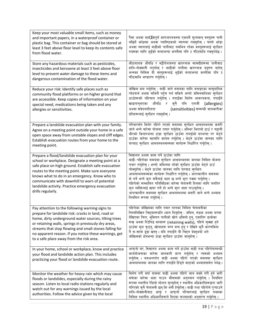| Keep your most valuable small items, such as money<br>and important papers, in a waterproof container or<br>plastic bag. This container or bag should be stored at<br>least 3 feet above floor level to keep its contents safe<br>from flood water.                                                                                                                                               | पैसा अथवा मह <b>Œ</b> वपूर्ण कागजपत्रजस्ता एकदमै मूल्यवान् वस्तुहरू पानी<br>नछिर्ने भाँडामा अथवा प्लास्ष्टिकको ब्यागमा राख्नुहोस् । यस्तो भाँडा<br>अथवा ब्यागलाई बाढीको पानीबाट यसभित्र रहेका वस्तुहरूलाई सुरक्षित<br>राख्नका लागि भुईँको सतहभन्दा कम्तीमा पनि ३ फीटमाथि राख्नुपर्दछ ।                                                                                                                                                                                                                                                                                                 |
|---------------------------------------------------------------------------------------------------------------------------------------------------------------------------------------------------------------------------------------------------------------------------------------------------------------------------------------------------------------------------------------------------|----------------------------------------------------------------------------------------------------------------------------------------------------------------------------------------------------------------------------------------------------------------------------------------------------------------------------------------------------------------------------------------------------------------------------------------------------------------------------------------------------------------------------------------------------------------------------------------|
| Store any hazardous materials such as pesticides,<br>insecticides and kerosene at least 3 feet above floor<br>level to prevent water damage to these items and<br>dangerous contamination of the flood water.                                                                                                                                                                                     | कीटनाशक औषधि र मट्टीतेलजस्ता खतरनाक सामग्रीहरूमा पानीबाट<br>हानि-नोक्सानी नपुगोस् र बाढीको पानीमा खतरनाक प्रदूषण नहोस्<br>भन्नका निमित्त यी वस्तुहरूलाई भुईंको सतहभन्दा कम्तीमा पनि ३<br>फीटमाथि भण्डारण गर्नुहोस् ।                                                                                                                                                                                                                                                                                                                                                                   |
| Reduce your risk: Identify safe places such as<br>community flood platforms or on higher ground that<br>are accessible. Keep copies of information on your<br>special need, medications being taken and any<br>allergies or sensitivities.                                                                                                                                                        | जोखिम कम गर्नुहोस् : बाढी जाने समयका लागि बनाइएका सामुदायिक<br>प्लेटफर्म अथवा सजिलै पहुँच गर्न सकिने अग्लो जमिनमाथिका सुरक्षित<br>ठाउँहरूको पहिचान गर्नुहोस् । तपाईँका विशेष आवश्यकता, तपाईँले<br>खाइरहन्भएका औषधि र क्नै पनि एलर्जी (allergies)<br>अथवा संवेदनशीलता<br>(sensitivities) सम्बन्धी जानकारीका<br>प्रतिहरूलाई सुरक्षित राख्नुहोस् ।                                                                                                                                                                                                                                        |
| Prepare a landslide evacuation plan with your family.<br>Agree on a meeting point outside your home in a safe<br>open space away from unstable slopes and cliff edges.<br>Establish evacuation routes from your home to the<br>meeting point.                                                                                                                                                     | परिवारसँग मिलेर पहिरो गएको समयमा सुरक्षित आश्रयस्थलमा कसरी<br>जाने भन्ने बारेमा योजना तयार गर्नुहोस् । अस्थिर भिरालो ठाउँ र चट्टानी<br>भीरको किनारभन्दा टाढा सुरक्षित ठाउँमा तपाईँको घरभन्दा पर भेट्ने<br>ठाउँका बारेमा सहमति कायम गर्नुहोस् । भेट्ने ठाउँमा जानका लागि<br>घरबाट सुरक्षित आश्रयस्थलसम्मका मार्गहरू निर्धारित गर्नुहोस् ।                                                                                                                                                                                                                                               |
| Prepare a flood/landslide evacuation plan for your<br>school or workplace. Designate a meeting point at a<br>safe place on high ground. Establish safe evacuation<br>routes to the meeting point. Make sure everyone<br>knows what to do in an emergency. Know who to<br>communicate with downhill to warn of potential<br>landslide activity. Practice emergency evacuation<br>drills regularly. | विद्यालय अथवा काम गर्ने ठाउँका लागि<br>बाढी ⁄ पहिरोका समयमा सुरक्षित आश्रयस्थलमा जानका निमित्त योजना<br>तयार गर्नुहोस् । अग्लो जमिनमा रहेको सुरक्षित ठाउँमा भेट्ने ठाउँ<br>तोक्नुहोस् । भेट्ने ठाउँमा जानका लागि घरबाट सुरक्षित<br>आश्रयस्थलसम्मका मार्गहरू निर्धारित गर्नुहोस् । आपत्कालीन समयमा<br>के गर्ने भन्ने कुरा सबैलाई थाहा छ भन्ने कुरा पक्का गर्नुहोस् ।<br>पहिरोको सम्भावित गतिविधिका बारेमा चेतावनी दिनका लागि तलतिर<br>कन व्यक्तिलाई खबर गर्ने हो भन्ने कुरा थाहा पाउनुहोस् ।<br>आपत्कालीन समयमा सुरक्षित आश्रयस्थलमा कसरी जाने भन्ने अभ्यास<br>नियमित रूपमा गर्नुहोस् । |
| Pay attention to the following warning signs to<br>prepare for landslide risk: cracks in land, road or<br>home, dirty underground water sources, tilting trees<br>or retaining walls, springs in previously dry areas,<br>streams that stop flowing and small stones falling for<br>no apparent reason. If you notice these warnings, get<br>to a safe place away from the risk area.             | पहिरोका जोखिमका लागि तयार रहनका निमित्त चेतावनीका<br>निम्नलिखित चिह्नहरूप्रति ध्यान दिनुहोस् : जमिन, सडक अथवा घरमा<br>देखिएका चिरा, भूमिगत पानीको स्रोत धमिलो हुनु, एकातिर ढल्केका<br>रूख अथवा रिटेनिड वालहरू (retaining walls), पहिले सुक्खा हुने<br>ठाउँमा मूल फुट्नु, खोलाहरू बग्न बन्द हुनु र देखिने कुनै कारणविना<br>नै स-साना ढुङ्गा खस्नु । यदि तपाईंले यी चिहन देख्नुभयो भने<br>जोखिमको क्षेत्रभन्दा टाढा सुरक्षित ठाउँमा जानुहोस् ।                                                                                                                                           |
| In your home, school or workplace, know and practice<br>your flood and landslide action plan. This includes<br>practicing your flood or landslide evacuation route.                                                                                                                                                                                                                               | आफुनो घर, विद्यालय अथवा काम गर्ने ठाउँमा बाढी तथा पहिरोसम्बन्धी<br>कार्ययोजनाका बारेमा जानकारी प्राप्त गर्नुहोस् र त्यसको अभ्यास<br>गर्नुहोस् । यसअन्तर्गत बाढी अथवा पहिरो गएको समयमा सुरक्षित<br>आश्रयस्थलमा जानका लागि तपाईँले हिँड्ने बाटाको अभ्याससमेत पर्दछ।                                                                                                                                                                                                                                                                                                                      |
| Monitor the weather for heavy rain which may cause<br>floods or landslides, especially during the rainy<br>season. Listen to local radio stations regularly and<br>watch out for any warnings issued by the local<br>authorities. Follow the advice given by the local                                                                                                                            | विशेष गरी वर्षा याममा बाढी अथवा पहिरो जान सक्ने गरी हने भारी<br>वर्षाका बारेमा थाहा पाउन मौसमको अनुगमन गर्नुहोस् । नियमित<br>रूपमा स्थानीय रेडियो स्टेशन सुन्नुहोस् र स्थानीय अधिकारीहरूद्वारा जारी<br>गरिएको कुनै चेतावनी छन् कि भनी हेर्नुहोस् । बाढी तथा पहिरोले पुऱ्याउने<br>हानि-नोक्सानीबाट आफू र आफ्नो परिवारलाई सुरक्षित राख्नका<br>निमित्त स्थानीय अधिकारीहरूले दिएका सल्लाहको अनुसरण गर्नुहोस् ।                                                                                                                                                                             |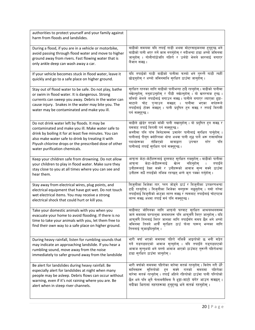| authorities to protect yourself and your family against<br>harm from floods and landslides.                                                                                                                                                                                                                |                                                                                                                                                                                                                                                                                                                                                             |
|------------------------------------------------------------------------------------------------------------------------------------------------------------------------------------------------------------------------------------------------------------------------------------------------------------|-------------------------------------------------------------------------------------------------------------------------------------------------------------------------------------------------------------------------------------------------------------------------------------------------------------------------------------------------------------|
| During a flood, if you are in a vehicle or motorbike,<br>avoid passing through flood water and move to higher<br>ground away from rivers. Fast flowing water that is<br>only ankle deep can wash away a car.                                                                                               | बाढीको समयमा यदि तपाईं गाडी अथवा मोटरसाइकलमा हन्हन्छ भने<br>बाढीको पानी भएर तर्ने काम नगर्नुहोस् र नदीभन्दा टाढा अग्लो जमिनमा<br>जानुहोस् । गोलीगाँठोजति गहिरो र उर्लंदो भेलले कारलाई बगाएर<br>लैजान सक्छ ।                                                                                                                                                 |
| If your vehicle becomes stuck in flood water, leave it<br>quickly and go to a safe place on higher ground.                                                                                                                                                                                                 | यदि तपाईंको गाडी बाढीको पानीमा फस्यो भने तुरुन्तै गाडी त्यहीं<br>छोड्नुहोस् र अग्लो जमिनमाथि सुरक्षित ठाउँमा जानुहोस् ।                                                                                                                                                                                                                                     |
| Stay out of flood water to be safe. Do not play, bathe<br>or swim in flood water. It is dangerous. Strong<br>currents can sweep you away. Debris in the water can<br>cause injury. Snakes in the water may bite you. The<br>water may be contaminated and make you ill.                                    | सुरक्षित रहनका लागि बाढीको पानीभन्दा टाढै रहनुहोस् । बाढीको पानीमा<br>नखेल्नुहोस्, ननुहाउनुहोस् र पौडी नखेल्नुहोस् । यो खतरनाक हुन्छ ।<br>बलियो भेलले तपाईँलाई बगाउन सक्छ । पानीले बगाएर ल्याएका ढ्ङ्गा-<br>माटाले चोट पुऱ्याउन सक्छन् । पानीमा भएका सर्पहरूले<br>तपाईँलाई टोक्न सक्छन् । पानी प्रदूषित हन सक्छ र तपाईँ बिरामी<br>पर्न सक्नुहुन्छ ।         |
| Do not drink water left by floods. It may be<br>contaminated and make you ill. Make water safe to<br>drink by boiling it for at least five minutes. You can<br>also make water safe to drink by treating it with<br>Piyush chlorine drops or the prescribed dose of other<br>water purification chemicals. | बाढीले छोडेर गएको बाँकी पानी नखानुहोस् । यो प्रदूषित हन सक्छ र<br>यसबाट तपाईं बिरामी पर्न सक्नुहुन्छ ।<br>कम्तीमा पनि पाँच मिनेटसम्म उमालेर पानीलाई सुरक्षित पार्नुहोस् ।<br>पानीलाई पीयूष क्लोरिनका थोपा अथवा पानी शुद्ध पार्ने अरू रासायनिक<br>पदार्थहरूका<br>तोकिएको<br>मात्राद्वारा<br>उपचार<br>गरेर<br>पनि<br>पानीलाई तपाईं सुरक्षित पार्न सक्नुहुन्छ। |
| Keep your children safe from drowning. Do not allow<br>your children to play in flood water. Make sure they<br>stay close to you at all times where you can see and<br>hear them.                                                                                                                          | आफ्ना केटा-केटीहरूलाई डुब्नबाट सुरक्षित राख्नुहोस् । बाढीको पानीमा<br>नदिनुहोस्<br>केटा-केटीहरूलाई<br>खेल्न<br>आफना<br>तपाईले<br>$\mathbf{I}$<br>उनीहरूलाई देख्न सक्ने र उनीहरूको आवाज सुन्न सक्ने ठाउँमा<br>उनीहरू सधैँ तपाईँको नजिक रहन्छन् भन्ने कुरा पक्का गर्नुहोस् ।                                                                                  |
| Stay away from electrical wires, plug points, and<br>electrical equipment that have got wet. Do not touch<br>wet electrical items. You may receive a strong<br>electrical shock that could hurt or kill you.                                                                                               | बिजुलीका भिजेका तार, प्लग जोड्ने ठाउँ र बिजुलीका उपकरणभन्दा<br>टाढै रहनुहोस् । बिजुलीका भिजेका वस्तुहरू नछुनुहोस् । यसो गरेमा<br>तपाईँलाई बिज्लीको भन्दका लाग्न सक्छ र त्यसबाट तपाईँलाई चोटपटक<br>लाग्न सक्छ अथवा तपाईं मर्न पनि सक्नुहुन्छ।                                                                                                                |
| Take your domestic animals with you when you<br>evacuate your home to avoid flooding. If there is no<br>time to take your animals with you, let them free to<br>find their own way to a safe place on higher ground.                                                                                       | बाढीबाट जोगिनका लागि आफ्नो घरबाट सुरक्षित आश्रयस्थलसम्म<br>जाने समयमा घरपालुवा जनावरहरू पनि आफूसँगै लिएर जानुहोस् । यदि<br>आफूसँगै तिनलाई लिएर जानका लागि तपाईँसँग समय छैन भने अग्लो<br>जमिनमा तिनले आफैँ सुरक्षित ठाउँ फेला पारून् भन्नका लागि<br>तिनलाई फुकाइदिनुहोस् ।                                                                                   |
| During heavy rainfall, listen for rumbling sounds that<br>may indicate an approaching landslide. If you hear a<br>rumbling sound, move away from the noise<br>immediately to safer ground away from the landslide                                                                                          | भारी वर्षा भएको समयमा पहिरो नजिकै आइरहेको छ भनी सङ्केत<br>गर्ने गडगडाहटको आवाज सुन्नुहोस् । यदि तपाईँले गड्गडाहटको<br>आवाज सुन्नुभयो भने यस्तो आवाज आएको ठाउँबाट तुरून्तै पहिरोभन्दा<br>टाढा स्रक्षित ठाउँमा जानुहोस् ।                                                                                                                                     |
| Be alert for landslides during heavy rainfall. Be<br>especially alert for landslides at night when many<br>people may be asleep. Debris flows can occur without<br>warning, even if it's not raining where you are. Be<br>alert when in steep river channels.                                              | भारी वर्षाको समयमा पहिरोका बारेमा सतर्क रहनुहोस् । विशेष गरी धेरै<br>सुतिरहेको हुन सक्ने रातको समयमा<br>मानिसहरू<br>पहिरोका<br>बारेमा सतर्क रहनुहोस् । तपाईं अहिले रहिरहेको ठाउँमा पानी परिरहेको<br>छैन भने पनि कुनै चेतावनीविना नै ढुङ्गा-माटो बगेर आउन सक्छन् ।<br>नदीका भिराला नहरहरूमा हुनुहुन्छ भने सतर्क रहनुहोस् ।                                   |
|                                                                                                                                                                                                                                                                                                            |                                                                                                                                                                                                                                                                                                                                                             |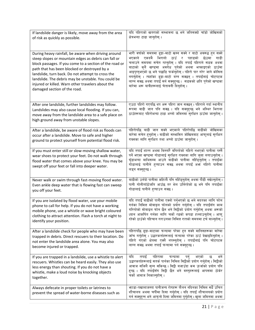| If landslide danger is likely, move away from the area                                                                                                                                                                                                                                                                                                                                                                  | यदि पहिराको खतराको सम्भावना छ भने जतिसक्दो चाँडो जोखिमको                                                                                                                                                                                                                                                                                                                                                                                                                                          |
|-------------------------------------------------------------------------------------------------------------------------------------------------------------------------------------------------------------------------------------------------------------------------------------------------------------------------------------------------------------------------------------------------------------------------|---------------------------------------------------------------------------------------------------------------------------------------------------------------------------------------------------------------------------------------------------------------------------------------------------------------------------------------------------------------------------------------------------------------------------------------------------------------------------------------------------|
| of risk as quickly as possible.                                                                                                                                                                                                                                                                                                                                                                                         | क्षेत्रभन्दा टाढा जानुहोस् ।                                                                                                                                                                                                                                                                                                                                                                                                                                                                      |
| During heavy rainfall, be aware when driving around<br>steep slopes or mountain edges as debris can fall or<br>block passages. If you come to a section of the road or<br>path that has been blocked or destroyed by a<br>landslide, turn back. Do not attempt to cross the<br>landslide. The debris may be unstable. You could be<br>injured or killed. Warn other travelers about the<br>damaged section of the road. | भारी वर्षाको समयमा ढुङ्गा-माटो खस्न सक्ने र बाटो अवरूद्ध हुन सक्ने<br>भएकाले एकदमै भिरालो ठाउँ र पहाडको छेउमा<br>गाडी<br>चलाउने समयमा सचेत रहनुहोस् । यदि तपाईं पहिराले सडक अथवा<br>बाटाको कुनै खण्डमा अवरोध पुगेको अथवा भत्काइएको ठाउँमा<br>आइपुग्नुभएको छ भने पछाडि फर्कनुहोस् । पहिरो पार गरेर जाने कोसिस<br>नगर्नुहोस् । त्यहाँका ढुङ्गा-माटो बग्न सक्छन् । तपाईँलाई चोटपटक<br>लाग्न सक्छ अथवा तपाईं मर्न सक्नुहुन्छ। सडकको क्षति पुगेको खण्डका<br>बारेमा अरू यात्रीहरूलाई चेतावनी दिन्होस् । |
| After one landslide, further landslides may follow.<br>Landslides may also cause local flooding. If you can,<br>move away from the landslide area to a safe place on<br>high ground away from unstable slopes.                                                                                                                                                                                                          | एउटा पहिरो गएपछि थप अरू पहिरा जान सक्छन् । पहिराले गर्दा स्थानीय<br>रूपमा बाढी जान पनि सक्छ । यदि सक्नुहुन्छ भने अस्थिर भिराला<br>ठाउँहरूबाट पहिरोभन्दा टाढा अग्लो जमिनमा सुरक्षित ठाउँमा जानुहोस् ।                                                                                                                                                                                                                                                                                              |
| After a landslide, be aware of flood risk as floods can                                                                                                                                                                                                                                                                                                                                                                 | पहिरोपछि बाढी जान सक्ने भएकाले पहिरोपछि बाढीको जोखिमका                                                                                                                                                                                                                                                                                                                                                                                                                                            |
| occur after a landslide. Move to safe and higher                                                                                                                                                                                                                                                                                                                                                                        | बारेमा सचेत हुनुहोस् । बाढीको सम्भावित जोखिमबाट आफूलाई सुरक्षित                                                                                                                                                                                                                                                                                                                                                                                                                                   |
| ground to protect yourself from potential flood risk.                                                                                                                                                                                                                                                                                                                                                                   | राख्नका लागि सुरक्षित तथा अग्लो ठाउँमा जानुहोस् ।                                                                                                                                                                                                                                                                                                                                                                                                                                                 |
| If you must enter still or slow-moving shallow water,<br>wear shoes to protect your feet. Do not walk through<br>flood water that comes above your knee. You may be<br>swept off your feet or fall into deeper water.                                                                                                                                                                                                   | यदि तपाईं शान्त अथवा बिस्तारै बगिरहेको गहिरो नभएको पानीमा पस्नै<br>पर्ने भएका खण्डमा गोडालाई सुरक्षित राख्नका लागि जुत्ता लगाउनुहोस् ।<br>घुँडाभन्दा माथिसम्म आउने बाढीको पानीमा नहिँड्नुहोस् । तपाईँका<br>गोडालाई पानीले हत्याउन सक्छ अथवा तपाईं अफ्ग गहिरो पानीमा<br>लड्न सक्तुहुन्छ ।                                                                                                                                                                                                          |
| Never walk or swim through fast-moving flood water.                                                                                                                                                                                                                                                                                                                                                                     | बाढीको उर्लंदो पानीमा कहिल्यै पनि नहिँड्नुहोस् अथवा पौडी नखेल्नुहोस् ।                                                                                                                                                                                                                                                                                                                                                                                                                            |
| Even ankle deep water that is flowing fast can sweep                                                                                                                                                                                                                                                                                                                                                                    | पानी गोलीगाँठोजति आउँछ तर भेल उर्लिरहेको छ भने पनि तपाईँका                                                                                                                                                                                                                                                                                                                                                                                                                                        |
| you off your feet.                                                                                                                                                                                                                                                                                                                                                                                                      | गोडालाई पानीले हत्याउन सक्छ।                                                                                                                                                                                                                                                                                                                                                                                                                                                                      |
| If you are isolated by flood water, use your mobile                                                                                                                                                                                                                                                                                                                                                                     | यदि तपाईं बाढीको पानीमा एक्लो पर्न्भएको छ भने मदतका लागि फोन                                                                                                                                                                                                                                                                                                                                                                                                                                      |
| phone to call for help. If you do not have a working                                                                                                                                                                                                                                                                                                                                                                    | गर्नका निमित्त मोबाइल फोनको प्रयोग गर्नुहोस् । यदि तपाईँसँग काम                                                                                                                                                                                                                                                                                                                                                                                                                                   |
| mobile phone, use a whistle or wave bright coloured                                                                                                                                                                                                                                                                                                                                                                     | गरिरहेको मोबाइल फोन छैन भने सिट्ठीको प्रयोग गर्नुहोस् अथवा अरूको                                                                                                                                                                                                                                                                                                                                                                                                                                  |
| clothing to attract attention. Flash a torch at night to                                                                                                                                                                                                                                                                                                                                                                | ध्यान आकर्षित गर्नका लागि चर्को रङको कपडा हल्लाउनुहोस् । आफू                                                                                                                                                                                                                                                                                                                                                                                                                                      |
| identify your position.                                                                                                                                                                                                                                                                                                                                                                                                 | रहेको ठाउँको पहिचान गराउनका निमित्त रातको समयमा टर्च बाल्नुहोस् ।                                                                                                                                                                                                                                                                                                                                                                                                                                 |
| After a landslide check for people who may have been                                                                                                                                                                                                                                                                                                                                                                    | पहिरापछि ढुङ्गा-माटाका फन्दामा परेका हुन सक्ने मानिसहरूका बारेमा                                                                                                                                                                                                                                                                                                                                                                                                                                  |
| trapped in debris. Direct rescuers to their location. Do                                                                                                                                                                                                                                                                                                                                                                | जाँच गर्नुहोस् । उद्धारकर्ताहरूलाई फन्दामा परेका ठाउँ देखाइदिनुहोस् ।                                                                                                                                                                                                                                                                                                                                                                                                                             |
| not enter the landslide area alone. You may also                                                                                                                                                                                                                                                                                                                                                                        | पहिरो गएको क्षेत्रमा एक्लै नपस्नुहोस् । तपाईँलाई पनि चोटपटक                                                                                                                                                                                                                                                                                                                                                                                                                                       |
| become injured or trapped.                                                                                                                                                                                                                                                                                                                                                                                              | लाग्न सक्छ अथवा तपाईं फन्दामा पर्न सक्नुहुन्छ।                                                                                                                                                                                                                                                                                                                                                                                                                                                    |
| If you are trapped in a landslide, use a whistle to alert<br>rescuers. Whistles can be heard easily. They also use<br>less energy than shouting. If you do not have a<br>whistle, make a loud noise by knocking objects<br>together.                                                                                                                                                                                    | यदि<br>तपाई<br>पहिरामा<br>फन्दामा<br>पर्न<br>भएको<br>भने<br>छ<br>उद्धारकर्ताहरूलाई सतर्क पार्नका निमित्त सिट्ठीको प्रयोग गर्नुहोस् । सिट्ठीको<br>आवाज सजिलै सुन्न सकिन्छ । सिट्ठी बजाउँदा कम ऊर्जाको प्रयोग पनि<br>हुन्छ । यदि तपाईँसँग सिट्ठी छैन भने वस्तुहरूलाई आपसमा ठोकेर<br>चर्को आवाज निकाल्नुहोस् ।                                                                                                                                                                                       |
| Always defecate in proper toilets or latrines to<br>prevent the spread of water-borne diseases such as                                                                                                                                                                                                                                                                                                                  | भाडा-पखालाजस्ता पानीजन्य रोगहरू फैलन नदिनका निमित्त सधैँ उचित<br>शौचालय अथवा चर्पीमा दिसा गर्नुहोस् । यदि तपाईं शौचालयको प्रयोग<br>गर्न सक्नुहुन्न भने आफ्नो दिसा जमिनमा पुर्नुहोस् । खुला जमिनमा अथवा                                                                                                                                                                                                                                                                                            |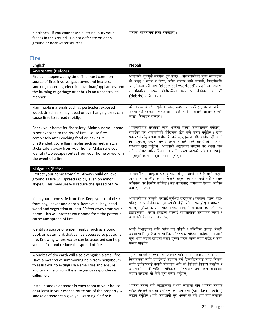| diarrhoea. If you cannot use a latrine, bury your<br>faeces in the ground. Do not defecate on open | पानीको स्रोतनजिक दिसा नगर्नुहोस् । |
|----------------------------------------------------------------------------------------------------|------------------------------------|
| ground or near water sources.                                                                      |                                    |

# <span id="page-21-0"></span>**Fire**

| English                                                                                                                                                        | Nepali                                                                                                                                                                                           |
|----------------------------------------------------------------------------------------------------------------------------------------------------------------|--------------------------------------------------------------------------------------------------------------------------------------------------------------------------------------------------|
| Awareness (Before)                                                                                                                                             |                                                                                                                                                                                                  |
| Fire can happen at any time. The most common                                                                                                                   | आगलागी जुनसुकै समयमा हुन सक्छ । आगललागीका मुख्य स्रोतहरूमा                                                                                                                                       |
| source of fires involve: gas stoves and heaters,                                                                                                               | यी पर्छन् : स्टोभ र हिटर, चुरोट ∕तमाखु खाने सामग्री, बिज्लीमाथि                                                                                                                                  |
| smoking materials, electrical overload/appliances, and                                                                                                         | चाहिनेभन्दा बढी चाप (electrical overload) /बिजुलीका उपकरण                                                                                                                                        |
| the burning of garbage or debris in an uncontrolled                                                                                                            | र अनियन्त्रित रूपमा फोहोर-मैला अथवा भत्के-बिग्रेका टुक्राटाक्री                                                                                                                                  |
| manner.                                                                                                                                                        | (debris) बाल्ने काम।                                                                                                                                                                             |
| Flammable materials such as pesticides, exposed                                                                                                                | कीटनाशक औषधि, सुकेका काठ, सुक्खा पात-पतिङ्गर, पराल, सुकेका                                                                                                                                       |
| wood, dried leafs, hay, dead or overhanging trees can                                                                                                          | अथवा भून्डिइरहेका रूखजस्ता सजिलै बल्ने सामग्रीले आगोलाई चाँ-                                                                                                                                     |
| cause fires to spread rapidly.                                                                                                                                 | चाँडो फैलाउन सक्छन् ।                                                                                                                                                                            |
| Check your home for fire safety: Make sure you home                                                                                                            | आगलागीबाट सुरक्षाका लागि आफुनो घरको जाँचपडताल गर्नुहोस् :                                                                                                                                        |
| is not exposed to the risk of fire. Douse fires                                                                                                                | तपाईंको घर आगलागीको जोखिममा छैन भन्ने पक्का गर्नुहोस् । खाना                                                                                                                                     |
| completely after cooking food or leaving it                                                                                                                    | पकाइसकेपछि अथवा आगोलाई त्यसै छोड्नुभन्दा अघि पानीले पूरै आगो                                                                                                                                     |
| unattended, store flammables such as fuel, match                                                                                                               | निभाउन्होस्, इन्धन, सलाई जस्ता सजिलै बल्ने सामग्रीको भण्डारण                                                                                                                                     |
| sticks safely away from your home. Make sure you                                                                                                               | घरभन्दा टाढा गर्नुहोस् । आगलागी भइहालेका खण्डमा घर अथवा काम                                                                                                                                      |
| identify two escape routes from your home or work in                                                                                                           | गर्ने ठाउँबाट बाहिर निस्कनका लागि द्इटा बाटाको पहिचान तपाईंले                                                                                                                                    |
| the event of a fire.                                                                                                                                           | गर्नुभएको छ भन्ने करा पक्का गर्नुहोस् ।                                                                                                                                                          |
| Mitigation (Before)                                                                                                                                            |                                                                                                                                                                                                  |
| Protect your home from fire. Always build on level<br>ground as fire will spread rapidly even on minor<br>slopes. This measure will reduce the spread of fire. | आगलागीबाट आफ्नो घर जोगाउन्होस् । आगो थोरै भिरालो भएको<br>ठाउँमा समेत तीव्र रूपमा फैलने भएको कारणले गर्दा सधैँ समतल<br>जमिनमा घर निर्माण गर्नुहोस् । यस कदमबाट आगलागी फैलने  जोखिम<br>कम हन सक्छ। |
| Keep your home safe from fire. Keep your roof clear                                                                                                            | आगलागीबाट आफ्नो घरलाई सुरक्षित राख्नुहोस् । छानामा पराल, पात-                                                                                                                                    |
| from hay, leaves and debris. Remove all hay, dead                                                                                                              | पतिङ्गर र भत्के-बिग्रेका टुका-टाकी केही पनि नराख्नुहोस् । भएभरका                                                                                                                                 |
| wood and vegetation at least 30 feet away from your                                                                                                            | पराल, सुकेका काठ र पात-पतिङ्गर आफ्नो घरभन्दा ३० फीट पर                                                                                                                                           |
| home. This will protect your home from the potential                                                                                                           | हटाउन्होस् । यसले तपाईंको घरलाई आगलागीको सम्भावित कारण र                                                                                                                                         |
| cause and spread of fire.                                                                                                                                      | आगलागी फैलनबाट बचाउँछ ।                                                                                                                                                                          |
| Identify a source of water nearby, such as a pond,                                                                                                             | आगो निभाउनका लागि पहुँच गर्न सकिने र नजिकैका तलाउ, पोखरी                                                                                                                                         |
| pool, or water tank that can be accessed to put out a                                                                                                          | अथवा पानी ट्याङ्कीजस्ता पानीका स्रोतहरूको पहिचान गर्नुहोस् । पानीको                                                                                                                              |
| fire. Knowing where water can be accessed can help                                                                                                             | क्रा थाहा भएका खण्डमा यसले तुरुन्त कदम चाल्न मदत गर्दछ र आगो                                                                                                                                     |
| you act fast and reduce the spread of fire.                                                                                                                    | फैलन पाउँदैन ।                                                                                                                                                                                   |
| A bucket of dry earth will also extinguish a small fire.                                                                                                       | सुक्खा माटोले भरिएको बाल्टिनबाट पनि आगो निभ्दछ । सानो आगो                                                                                                                                        |
| Have a method of summoning help from neighbours                                                                                                                | निभाउनका लागि तपाईलाई सहयोग गर्न छिमेकीहरूबाट मदत लिनका                                                                                                                                          |
| to assist you to extinguish a small fire and ensure                                                                                                            | लागि उनीहरूलाई कसरी बोलाउने भनी सो विधिको विकास गर्नुहोस् र                                                                                                                                      |
| additional help from the emergency responders is                                                                                                               | आपत्कालीन परिस्थितिमा प्रतिकार्य गर्नेहरूबाट थप मदत आवश्यक                                                                                                                                       |
| called for.                                                                                                                                                    | भएका खण्डमा सो लिने कुरा पक्का गर्नुहोस् ।                                                                                                                                                       |
| Install a smoke detector in each room of your house                                                                                                            | आफुनो घरका सबै कोठाहरूमा अथवा कम्तीमा पनि आफुनो घरबाट                                                                                                                                            |
| or at least in your escape route out of the property. A                                                                                                        | बाहिर निस्कने बाटामा धूवाँ पत्ता लगाउने यन्त्र (smoke detector)                                                                                                                                  |
| smoke detector can give you warning if a fire is                                                                                                               | जडान गर्नुहोस् । यदि आगलागी सुरु भएको छ भने धूवाँ पत्ता लगाउने                                                                                                                                   |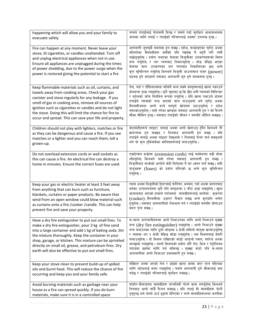| happening which will allow you and your family to                                                                                                                                                                                                                                                                                                                                                               | यन्त्रले तपाईलाई चेतावनी दिन्छ र यसले गर्दा सुरक्षित आश्रयस्थलमा                                                                                                                                                                                                                                                                                                                                                                                                                                                      |
|-----------------------------------------------------------------------------------------------------------------------------------------------------------------------------------------------------------------------------------------------------------------------------------------------------------------------------------------------------------------------------------------------------------------|-----------------------------------------------------------------------------------------------------------------------------------------------------------------------------------------------------------------------------------------------------------------------------------------------------------------------------------------------------------------------------------------------------------------------------------------------------------------------------------------------------------------------|
| evacuate safely.                                                                                                                                                                                                                                                                                                                                                                                                | जानका लागि तपाईं र तपाईंको परिवारलाई अवसर उपलब्ध हुन्छ ।                                                                                                                                                                                                                                                                                                                                                                                                                                                              |
| Fire can happen at any moment. Never leave your<br>stove, lit cigarettes, or candles unattended. Turn off<br>and unplug electrical appliances when not in use.<br>Ensure all appliances are unplugged during the times<br>of power shedding, due to the power surge when the<br>power is restored giving the potential to start a fire                                                                          | आगलागी जुनसुकै समयमा हुन सक्छ। स्टोभ, सल्काइएका चुरोट अथवा<br>बलिरहेका मैनबत्तीहरू कसैको पनि रेखदेख नै नहनै गरी त्यसै<br>नछोड्नुहोस् । प्रयोग नभएका बेलामा बिजुलीका उपकरणहरूको स्विच<br>बन्द गर्नुहोस् र तार प्लगबाट निकाल्नुहोस् । लोड सेडिड भएका<br>बेलामा सारा उपकरणका तार प्लगबाट निकालिएका छन् भन्ने<br>कुरा सुनिश्चित गर्नुहोस् किनभने बिजुली आउनासाथ पावर (power)<br>घटबढ हने भएकाले यसबाट आगलागी सुरु हने सम्भावना हुन्छ।                                                                                     |
| Keep flammable materials such as oil, curtains, and                                                                                                                                                                                                                                                                                                                                                             | तेल, पर्दा र तौलियाजस्ता सजिलै बल्न सक्ने वस्तुहरूलाई खाना पकाउने                                                                                                                                                                                                                                                                                                                                                                                                                                                     |
| towels away from cooking areas. Check your gas                                                                                                                                                                                                                                                                                                                                                                  | क्षेत्रभन्दा टाढा राख्नुहोस् । कुनै चुहावट छ कि छैन भनी ग्यासको सिलिन्डर                                                                                                                                                                                                                                                                                                                                                                                                                                              |
| canister and stove regularly for any leakage. If you                                                                                                                                                                                                                                                                                                                                                            | र स्टोभको जाँच नियमित रूपमा गर्नुहोस् । यदि खाना पकाउने क्षेत्रमा                                                                                                                                                                                                                                                                                                                                                                                                                                                     |
| smell of gas in cooking area, remove all sources of                                                                                                                                                                                                                                                                                                                                                             | तपाईंले ग्यासको गन्ध आएको चाल पाउन्भयो भने चुरोट अथवा                                                                                                                                                                                                                                                                                                                                                                                                                                                                 |
| ignition such as cigarettes or candles and do not light                                                                                                                                                                                                                                                                                                                                                         | मैनबत्तीजस्ता आगो बल्ने सम्पूर्ण स्रोतहरू हटाउनुहोस् र स्टोभ                                                                                                                                                                                                                                                                                                                                                                                                                                                          |
| the stove. Doing this will limit the chance for fire to                                                                                                                                                                                                                                                                                                                                                         | नसल्काउन्होस् । यसो गरेका खण्डमा यसबाट आगलागी हन र सो फैलने                                                                                                                                                                                                                                                                                                                                                                                                                                                           |
| occur and spread. This can save your life and property.                                                                                                                                                                                                                                                                                                                                                         | मौका सीमित हुन्छ। यसबाट तपाईंको जीवन र सम्पत्ति जोगिन सक्छन्।                                                                                                                                                                                                                                                                                                                                                                                                                                                         |
| Children should not play with lighters, matches or fire                                                                                                                                                                                                                                                                                                                                                         | केटाकेटीहरूले लाइटर, सलाई अथवा आगो खेलाउन् हँदैन किनभने ती                                                                                                                                                                                                                                                                                                                                                                                                                                                            |
| as they can be dangerous and cause a fire. If you see                                                                                                                                                                                                                                                                                                                                                           | खतरनाक हन सक्छन् र तिनबाट आगलागी हन सक्छ । यदि                                                                                                                                                                                                                                                                                                                                                                                                                                                                        |
| matches or a lighter and you can reach them, tell a                                                                                                                                                                                                                                                                                                                                                             | तपाईले सलाई अथवा लाइटर देख्नुभयो र तिनलाई फेला पार्न सक्नुभयो                                                                                                                                                                                                                                                                                                                                                                                                                                                         |
| grown-up.                                                                                                                                                                                                                                                                                                                                                                                                       | भने यो करा हर्किसकेका मानिसहरूलाई बताउनुहोस् ।                                                                                                                                                                                                                                                                                                                                                                                                                                                                        |
| Do not overload extension cords or wall sockets as<br>this can cause a fire. An electrical fire can destroy a<br>home in minutes. Ensure the correct fuses are used.                                                                                                                                                                                                                                            | एक्स्टेन्सन कर्डहरू (extension cords) लाई सक्नेभन्दा बढी बोफ<br>नदिनुहोस् किनभने यसो गरेमा यसबाट आगलागी हन सक्छ ।<br>बिजुलीबाट सल्केको आगोले केही मिनेटमा नै घर ध्वस्त पार्न सक्छ। सही<br>फ्युजहरू (fuses) को प्रयोग गरिएको छ भन्ने क्रा सुनिश्चित<br>गर्नुहोस् ।                                                                                                                                                                                                                                                     |
| Keep your gas or electric heater at least 3 feet away                                                                                                                                                                                                                                                                                                                                                           | ग्यास अथवा बिजुलीको हिटरलाई फर्निचर, कम्बल, पर्दा अथवा कागतबाट                                                                                                                                                                                                                                                                                                                                                                                                                                                        |
| from anything that can burn such as furniture,                                                                                                                                                                                                                                                                                                                                                                  | बनेका उत्पादनजस्ता कुनै पनि वस्तुभन्दा ३ फीट टाढा राख्नुहोस् । खुला                                                                                                                                                                                                                                                                                                                                                                                                                                                   |
| blankets, curtains or paper products. Be aware that                                                                                                                                                                                                                                                                                                                                                             | भूयालबाट आएको हावाले पर्दाजस्ता  सामग्रीहरूलाई आगोमा ∕ क्करमा                                                                                                                                                                                                                                                                                                                                                                                                                                                         |
| wind from an open window could blow material such                                                                                                                                                                                                                                                                                                                                                               | (cooker) मैनबत्तीमा उडाएर लैजान सक्छ भन्ने क्राप्रति सचेत                                                                                                                                                                                                                                                                                                                                                                                                                                                             |
| as curtains onto a fire / cooker / candle. This can help                                                                                                                                                                                                                                                                                                                                                        | हन्होस् । यसबाट आगलागीको रोकथाम गर्न र तपाईंको सम्पत्ति जोगाउन                                                                                                                                                                                                                                                                                                                                                                                                                                                        |
| prevent fire and save your property.                                                                                                                                                                                                                                                                                                                                                                            | मदत पुग्न सक्छ।                                                                                                                                                                                                                                                                                                                                                                                                                                                                                                       |
| Have a dry fire extinguisher to put out small fires. To<br>make a dry fire extinguisher, pour 3 kg of fine sand<br>into a large container and add 1 kg of baking soda. Stir<br>the mixture thoroughly. Keep the container in your<br>shop, garage, or kitchen. This mixture can be sprinkled<br>directly on small oil, grease, and petroleum fires. Dry<br>earth will also be effective to put out small fires. | स-साना आगलागीहरूमा आगो निभाउनका लागि आगो निभाउने सुक्खा<br>यन्त्र (dry fire extinguisher) राख्नुहोस् । आगो निभाउने सुक्खा<br>यन्त्र बनाउनका लागि ठूलो भाँडामा ३ केजी मसिनो बालुवा खन्याउनुहोस्<br>र त्यसमा थप १ केजी बेकिङ सोडा राख्नुहोस् । यस मिश्रणलाई बेसरी<br>चलाउनुहोस् । यो मिश्रण राखिएको भाँडो आफ्नो पसल, ग्यारेज अथवा<br>भान्छामा राख्नुहोस् । यस्तो मिश्रणको प्रयोग थोरै तेल, ग्रिज र पेट्रोलियम<br>पदार्थमा छर्नका लागि गर्न सकिन्छ । सुक्खा माटो पनि स-साना<br>आगलागीमा आगो निभाउन प्रभावकारी हुन सक्छ । |
| Keep your stove clean to prevent build-up of spilled                                                                                                                                                                                                                                                                                                                                                            | पोखिएर जम्मा भएको तेल र डढेको खाना जम्मा भएर रहन नदिनका                                                                                                                                                                                                                                                                                                                                                                                                                                                               |
| oils and burnt food. This will reduce the chance of fire                                                                                                                                                                                                                                                                                                                                                        | लागि स्टोभलाई सफा राख्नुहोस् । यसले आगलागी हुने मौकालाई कम                                                                                                                                                                                                                                                                                                                                                                                                                                                            |
| occurring and keep you and your family safe.                                                                                                                                                                                                                                                                                                                                                                    | गर्दछ र तपाईंको परिवारलाई सुरक्षित राख्दछ।                                                                                                                                                                                                                                                                                                                                                                                                                                                                            |
| Avoid burning materials such as garbage near your                                                                                                                                                                                                                                                                                                                                                               | फोहोर-मैलाजस्ता सामग्रीहरू घरनजिकै पोल्ने काम नगर्नुहोस् किनभने                                                                                                                                                                                                                                                                                                                                                                                                                                                       |
| house as a fire can spread quickly. If you do burn                                                                                                                                                                                                                                                                                                                                                              | तिनबाट आगो चाँडै फैलन सक्दछ । यदि तपाईं यी सामग्रीहरू पोल्दै                                                                                                                                                                                                                                                                                                                                                                                                                                                          |
| materials, make sure it is in a controlled space                                                                                                                                                                                                                                                                                                                                                                | हुनुहुन्छ भने यस्तो ठाउँ ढुङ्गाले घेरिएको र बल्ने सामग्रीहरूभन्दा कम्तीमा                                                                                                                                                                                                                                                                                                                                                                                                                                             |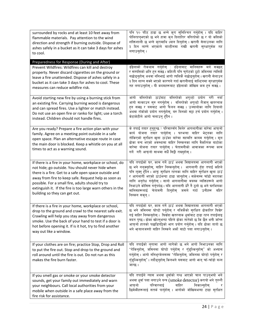| surrounded by rocks and at least 10 feet away from<br>flammable materials. Pay attention to the wind<br>direction and strength if burning outside. Dispose of<br>ashes safely in a bucket as it can take 3 days for ashes<br>to cool.                                                                                                                                            | पनि १० फीट टाढा छ भन्ने कुरा सुनिश्चित गर्नुहोस् । यदि बाहिर<br>पोलिरहनुभएको छ भने हावा कुन दिशातिर बगिरहेको छ र यो कत्तिको<br>शक्तिशाली छ भन्ने कुरामाथि ध्यान दिनुहोस् । खरानी सेलाउनका लागि<br>३ दिन लाग्ने भएकाले बाल्टीनमा राखी खरानी सुरक्षापूर्वक तह<br>लगाउन्होस् ।                                                                                                                                                                                                         |
|----------------------------------------------------------------------------------------------------------------------------------------------------------------------------------------------------------------------------------------------------------------------------------------------------------------------------------------------------------------------------------|-------------------------------------------------------------------------------------------------------------------------------------------------------------------------------------------------------------------------------------------------------------------------------------------------------------------------------------------------------------------------------------------------------------------------------------------------------------------------------------|
| Preparedness for Response (During and After)                                                                                                                                                                                                                                                                                                                                     |                                                                                                                                                                                                                                                                                                                                                                                                                                                                                     |
| Prevent Wildfires: Wildfires can kill and destroy<br>property. Never discard cigarettes on the ground or<br>leave a fire unattended. Dispose of ashes safely in a<br>bucket as it can take 3 days for ashes to cool. These<br>measures can reduce wildfire risk.                                                                                                                 | डँढेलाको रोकथाम गर्नुहोस् : डँढेलाबाट मानिसहरू मर्न सक्छन्<br>र सम्पत्तिको क्षति हुन सक्छ। कहिल्यै पनि चुरोटको ठुटो जमिनमा त्यत्तिकै<br>नछोड्नुहोस् अथवा ननिभाई आगो त्यत्तिकै नछोड्नुहोस् । खरानी सेलाउन<br>३ दिन लाग्न सक्ने भएको कारणले गर्दा खरानीलाई बाल्टिनमा सुरक्षापूर्वक<br>तह लगाउन्होस् । यी कदमहरूबाट डँढेलाको जोखिम कम हुन सक्छ ।                                                                                                                                       |
| Avoid starting new fire by using a burning stick from<br>an existing fire. Carrying burning wood is dangerous<br>and can spread fires. Use a lighter or match instead.<br>Do not use an open fire or ranko for light; use a torch<br>instead. Children should not handle fires.                                                                                                  | आगो बलिरहेको ठाउँबाट बलिरहेको अगुल्टो प्रयोग गरी नयाँ<br>आगो सल्काउन सुरु नगर्नुहोस् ।  बलिरहेको अगुल्टो लैजानु खतरनाक<br>हन सक्छ र यसबाट आगो फैलन सक्छ । उज्यालोका लागि दियालो<br>अथवा राँकोको प्रयोग नगर्नुहोस्, बरु यिनको सट्टा टर्च प्रयोग गर्नुहोस् ।<br>केटाकेटीले आगो चलाउन् हँदैन ।                                                                                                                                                                                         |
| Are you ready? Prepare a fire action plan with your<br>family. Agree on a meeting point outside in a safe<br>open space. Plan an alternative escape route in case<br>the main door is blocked. Keep a whistle on you at all<br>times to act as a warning sound.                                                                                                                  | के तपाईं तयार हनुहुन्छ ? परिवारसँग मिलेर आगलागीका बारेमा आफुनो<br>कार्य योजना तयार पार्नुहोस् । घरभन्दा बाहिर भेट्नका लागि<br>तोकिएको सुरक्षित खुला ठाउँका बारेमा सहमति कायम गर्नुहोस् । मूल<br>ढोका बन्द भएको अवस्थामा बाहिर निस्कनका लागि वैकल्पिक बाटोका<br>बारेमा योजना तयार पार्नुहोस् । चेतावनीको आवाजका रूपमा काम<br>गर्ने गरी आफ्नो साथमा सधैँ सिट्ठी राख्न्होस् ।                                                                                                          |
| If there is a fire in your home, workplace or school, do<br>not hide; go outside. You should never hide when<br>there is a fire. Get to a safe open space outside and<br>away from fire to keep safe. Request help as soon as<br>possible. For a small fire, adults should try to<br>extinguish it. If the fire is too large warn others in the<br>building so they can get out. | यदि तपाईंको घर, काम गर्ने ठाउँ अथवा विद्यालयमा आगलागी भएको<br>छ भने नलुक्नुहोस्, बाहिर निस्कनुहोस् । आगलागी हुँदा तपाईं कहिले<br>पनि लुक्नु हुँदैन । आफू सुरक्षित रहनका लागि बाहिर सुरक्षित खुला ठाउँ<br>र आगलागी भएको ठाउँभन्दा टाढा जानुहोस् । सकेसम्म चाँडो मदतका<br>लागि अनुरोध गर्नुहोस् । सानो आगलागीमा वयस्क व्यक्तिहरूले आगो<br>निभाउने कोसिस गर्नुपर्दछ । यदि आगलागी धेरै नै ठूलो छ भने घरभित्रका<br>मानिसहरूलाई चेतावनी दिनुहोस् जसले गर्दा उनीहरू बहिर<br>निस्कन सकून् । |
| If there is a fire in your home, workplace or school,<br>drop to the ground and crawl to the nearest safe exit.<br>Crawling will help you stay away from dangerous<br>smoke. Use the back of your hand to test if a door is<br>hot before opening it. If is it hot, try to find another<br>way out like a window.                                                                | यदि तपाईंको घर, काम गर्ने ठाउँ अथवा विद्यालयमा आगलागी भएको<br>छ भने जमिनमा घोप्टो पर्नुहोस् र नजिकैको सुरक्षित ढोकातिर घिस्रेर<br>गई बाहिर निस्कनहोस् । घिस्रँदा खतरनाक धुवाँबाट टाढा रहन तपाईँलाइ<br>मदत पुग्छ। ढोका खोल्नुभन्दा पहिले ढोका तातेको छ कि छैन भनी जाँच्न<br>आफ्नो हातको पछाडिपट्टिको भाग प्रयोग गर्नुहोस् । यदि ढोका तातो छ<br>भने भूयालजस्तो बाहिर निस्कने अर्को बाटो पत्ता लगाउनुहोस् ।                                                                            |
| If your clothes are on fire; practice Stop, Drop and Roll<br>to put the fire out. Stop and drop to the ground and<br>roll around until the fire is out. Do not run as this<br>makes the fire burn faster.                                                                                                                                                                        | यदि तपाईंको लुगामा आगो लागेको छ भने आगो निभाउनका लागि<br>'रोकिनुहोस्, जमिनमा घोप्टो पर्नुहोस् र गुँडुल्किनुहोस्' को अभ्यास<br>गर्नुहोस् । आगो ननिभुन्जेलसम्म 'रोकिनुहोस्, जमिनमा घोप्टो पर्नुहोस् र<br>गुँडुल्किन्होस्'। नदौडुन्होस् किनभने यसबाट आगो भन् चाँ-चाँडो बल्न<br>जान्छ ।                                                                                                                                                                                                 |
| If you smell gas or smoke or your smoke detector<br>sounds, get your family out immediately and warn<br>your neighbours. Call local authorities from your<br>mobile when outside in a safe place away from the<br>fire risk for assistance.                                                                                                                                      | यदि तपाईंले ग्यास अथवा धूवाँको गन्ध आएको चाल पाउनुभयो भने<br>अथवा धूवाँ पत्ता लगाउने यन्त्र (smoke detector) करायो भने तुरुन्तै<br>आफुनो<br>परिवारलाई<br>निकाल्नुहोस्<br>बाहिर<br>छिमेकीहरूलाई सतर्क पार्नुहोस् । आगोको जोखिमभन्दा टाढा सुरक्षित                                                                                                                                                                                                                                    |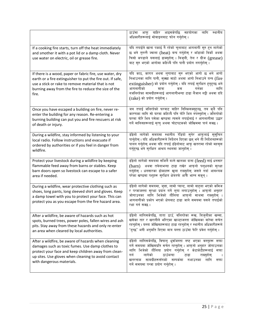|                                                                                                                                                                                                                                                     | ठाउँमा आफू बाहिर आइसकेपछि सहयोगका लागि<br>स्थानीय<br>अधिकारीहरूलाई मोबाइलबाट फोन गर्नुहोस् ।                                                                                                                                                                                                                                                        |
|-----------------------------------------------------------------------------------------------------------------------------------------------------------------------------------------------------------------------------------------------------|-----------------------------------------------------------------------------------------------------------------------------------------------------------------------------------------------------------------------------------------------------------------------------------------------------------------------------------------------------|
| If a cooking fire starts, turn off the heat immediately<br>and smother it with a pot lid or a damp cloth. Never<br>use water on electric, oil or grease fire.                                                                                       | यदि तपाईले खाना पकाई नै रहेको चुलाबाट आगलागी सुरु हुन लागेको<br>छ भने तुरुन्तै ज्वाला (heat) बन्द गर्नुहोस् र भाँडाको बिर्को अथवा<br>चिसो कपडाले यसलाई ढाक्नुहोस् । बिजुली, तेल र ग्रीज (grease)<br>बाट सुरु भएको आगोमा कहिल्यै पनि पानी प्रयोग नगर्नुहोस् ।                                                                                        |
| If there is a wood, paper or fabric fire, use water, dry<br>earth or a fire extinguisher to put the fire out. If safe,<br>use a stick or rake to remove material that is not<br>burning away from the fire to reduce the size of the<br>fire.       | यदि काठ, कागत अथवा लुगाबाट सुरु भएको आगो छ भने आगो<br>निभाउनका लागि पानी, सुक्खा माटो अथवा आगो निभाउने यन्त्र (fire<br>extinguisher) को प्रयोग गर्नुहोस् । यदि तपाईं सुरक्षित हुनुहुन्छ भने<br>आगलागीको<br>गर्नका<br>लागि<br>मात्रा<br>कम<br>नजलिरहेका सामग्रीहरूलाई आगलागीभन्दा टाढा लैजान लट्ठी अथवा दाँदे<br>(rake) को प्रयोग गर्नुहोस् ।        |
| Once you have escaped a building on fire, never re-<br>enter the building for any reason. Re-entering a<br>burning building can put you and fire rescuers at risk<br>of death or injury.                                                            | जब तपाई जलिरहेको घरबाट बाहिर निस्किसक्नुहुन्छ, तब कुनै पनि<br>कारणका लागि सो घरमा कहिल्यै पनि फोरे भित्र नपस्नुहोस् । जलिरहेको<br>घरमा फोरे भित्र पसेका खण्डमा त्यसले तपाईंलाई र आगलागीमा उद्धार<br>गर्ने मानिसहरूलाई मृत्यु अथवा चोटपटकको जोखिममा पार्न सक्छ।                                                                                      |
| During a wildfire, stay informed by listening to your<br>local radio. Follow instructions and evacuate if<br>ordered by authorities or if you feel in danger from<br>wildfire.                                                                      | डँढेलो लागेको समयमा स्थानीय रेडियो सुनेर आफूलाई सुसूचित<br>पार्नुहोस् । यदि अधिकारीहरूले निर्देशन दिएका छन् भने ती निर्देशनहरूको<br>पालन गर्नुहोस् अथवा यदि तपाईं डँढेलोबाट आफू खतरामा रहेको महसुस<br>गर्नुहुन्छ भने सुरक्षित आश्रय स्थलमा जानुहोस् ।                                                                                               |
| Protect your livestock during a wildfire by keeping<br>flammable feed away from barns or stables. Keep<br>barn doors open so livestock can escape to a safer<br>area if needed.                                                                     | डँढेलो लागेको समयमा सजिलै बल्ने खालका दाना (feed) लाई धनसार<br>(barn) अथवा तबेलाभन्दा टाढा राखेर आफ्नो पश्धनको सुरक्षा<br>गर्नुहोस् । धनसारका ढोकाहरू खुला राख्नुहोस् जसले गर्दा आवश्यक<br>परेका खण्डमा पशुहरू सुरक्षित क्षेत्रतर्फ आफैँ भाग्न सकून् ।                                                                                              |
| During a wildfire, wear protective clothing such as<br>shoes, long pants, long sleeved shirt and gloves. Keep<br>a damp towel with you to protect your face. This can<br>protect you as you escape from the fire hazard area.                       | डँढेलो लागेको समयमा, जुत्ता, लामो प्यान्ट, लामो बाहुला भएको कमिज<br>र पन्जाजस्ता सुरक्षा प्रदान गर्ने लुगा लगाउनुहोस् । आफ्नो अनुहार<br>जोगाउनका लागि भिजेको तौलिया आफ्नो साथमा राख्नुहोस् ।<br>आगलागीको प्रकोप भएको क्षेत्रबाट टाढा जाने समयमा यसले तपाईंको<br>रक्षा गर्न सक्छ ।                                                                   |
| After a wildfire, be aware of hazards such as hot<br>spots, burned trees, power poles, fallen wires and ash<br>pits. Stay away from these hazards and only re-enter<br>an area when cleared by local authorities.                                   | डँढेलो लागिसकेपछि, ताता ठाउँ, बलिरहेका रूख, बिजुलीका खम्बा,<br>खसेका तार र खरानीले भरिएका खाल्टाजस्ता जोखिमका बारेमा सचेत<br>रहनुहोस् । यस्ता जोखिमहरूबाट टाढा रहनुहोस् र स्थानीय अधिकारीहरूले<br>'हुन्छ' भनी अनुमति दिएमा मात्र यस्ता ठाउँमा फेरि प्रवेश गर्नुहोस् ।                                                                               |
| After a wildfire, be aware of hazards when cleaning<br>damages such as toxic fumes. Use damp clothes to<br>protect your face and keep children away from clean-<br>up sites. Use gloves when cleaning to avoid contact<br>with dangerous materials. | डँढेलो लागिसकेपछि, विषालु धूवाँजस्ता नष्ट भएका वस्तुहरू सफा<br>गर्ने समयमा जोखिमप्रति सचेत रहनुहोस् । आफ्नो अनुहार जोगाउनका<br>लागि भिजेको तौलिया प्रयोग गर्नुहोस् र केटाकेटीहरूलाई सफा<br>लागेको<br>ठाउँभन्दा<br>गर्न<br>टाढा<br>राख्नहोस्<br>सामग्रीहरूसँगको सम्पर्कमा<br>खतरनाक<br>लागि<br>नआउनका<br>सफा<br>गर्ने समयमा पन्जा प्रयोग गर्नुहोस् । |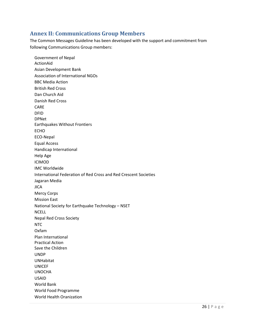## <span id="page-25-0"></span>**Annex II: Communications Group Members**

The Common Messages Guideline has been developed with the support and commitment from following Communications Group members:

Government of Nepal ActionAid Asian Development Bank Association of International NGOs BBC Media Action British Red Cross Dan Church Aid Danish Red Cross CARE DFID DPNet Earthquakes Without Frontiers ECHO ECO-Nepal Equal Access Handicap International Help Age ICIMOD IMC Worldwide International Federation of Red Cross and Red Crescent Societies Jagaran Media **JICA** Mercy Corps Mission East National Society for Earthquake Technology – NSET NCELL Nepal Red Cross Society NTC Oxfam Plan International Practical Action Save the Children UNDP UNHabitat UNICEF UNOCHA USAID World Bank World Food Programme World Health Oranization